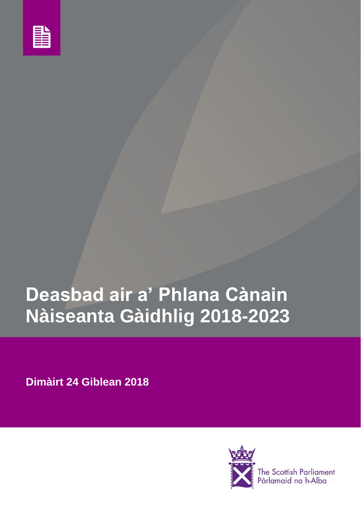

# **Deasbad air a' Phlana Cànain Nàiseanta Gàidhlig 2018-2023**

**Dimàirt 24 Giblean 2018**



The Scottish Parliament<br>Pàrlamaid na h-Alba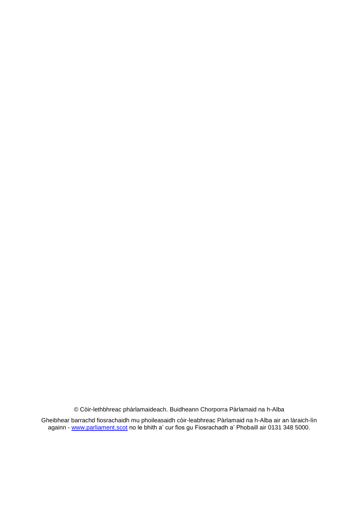© Còir-lethbhreac phàrlamaideach. Buidheann Chorporra Pàrlamaid na h-Alba

Gheibhear barrachd fiosrachaidh mu phoileasaidh còir-leabhreac Pàrlamaid na h-Alba air an làraich-lìn againn - <u>[www.parliament.scot](http://parliament.scot/)</u> no le bhith a' cur fios gu Fiosrachadh a' Phobaill air 0131 348 5000.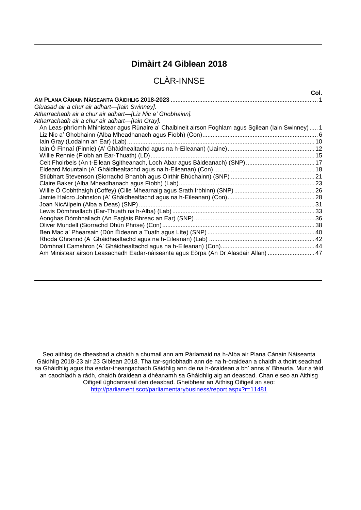# **Dimàirt 24 Giblean 2018**

# CLÀR-INNSE

| An Leas-phrìomh Mhinistear agus Rùnaire a' Chaibineit airson Foghlam agus Sgilean (Iain Swinney) 1 |                                                                                      | Col. |
|----------------------------------------------------------------------------------------------------|--------------------------------------------------------------------------------------|------|
|                                                                                                    |                                                                                      |      |
|                                                                                                    | Gluasad air a chur air adhart—[lain Swinney].                                        |      |
|                                                                                                    | Atharrachadh air a chur air adhart—[Liz Nic a' Ghobhainn].                           |      |
|                                                                                                    | Atharrachadh air a chur air adhart—[lain Gray].                                      |      |
|                                                                                                    |                                                                                      |      |
|                                                                                                    |                                                                                      |      |
|                                                                                                    |                                                                                      |      |
|                                                                                                    |                                                                                      |      |
|                                                                                                    |                                                                                      |      |
|                                                                                                    |                                                                                      |      |
|                                                                                                    |                                                                                      |      |
|                                                                                                    |                                                                                      |      |
|                                                                                                    |                                                                                      |      |
|                                                                                                    |                                                                                      |      |
|                                                                                                    |                                                                                      |      |
|                                                                                                    |                                                                                      |      |
|                                                                                                    |                                                                                      |      |
|                                                                                                    |                                                                                      |      |
|                                                                                                    |                                                                                      |      |
|                                                                                                    |                                                                                      |      |
|                                                                                                    |                                                                                      |      |
|                                                                                                    |                                                                                      |      |
|                                                                                                    | Am Ministear airson Leasachadh Eadar-nàiseanta agus Eòrpa (An Dr Alasdair Allan)  47 |      |

Seo aithisg de dheasbad a chaidh a chumail ann am Pàrlamaid na h-Alba air Plana Cànain Nàiseanta Gàidhlig 2018-23 air 23 Giblean 2018. Tha tar-sgrìobhadh ann de na h-òraidean a chaidh a thoirt seachad sa Ghàidhlig agus tha eadar-theangachadh Gàidhlig ann de na h-òraidean a bh' anns a' Bheurla. Mur a tèid an caochladh a ràdh, chaidh òraidean a dhèanamh sa Ghàidhlig aig an deasbad. Chan e seo an Aithisg Oifigeil ùghdarrasail den deasbad. Gheibhear an Aithisg Oifigeil an seo: <http://parliament.scot/parliamentarybusiness/report.aspx?r=11481>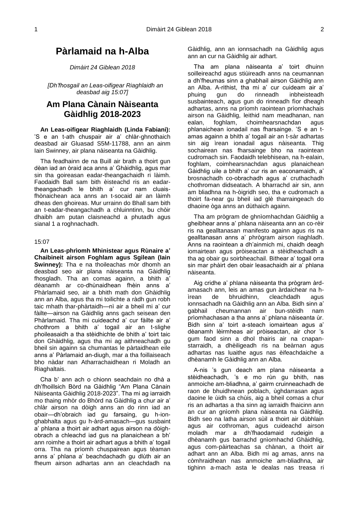# **Pàrlamaid na h-Alba**

*Dimàirt 24 Giblean 2018* 

*[Dh'fhosgail an Leas-oifigear Riaghlaidh an deasbad aig 15:07]*

# <span id="page-4-0"></span>**Am Plana Cànain Nàiseanta Gàidhlig 2018-2023**

**An Leas-oifigear Riaghlaidh (Linda Fabiani):**  'S e an t-ath chuspair air a' chlàr-ghnothaich deasbad air Gluasad S5M-11788, ann an ainm Iain Swinney, air plana nàiseanta na Gàidhlig.

Tha feadhainn de na Buill air brath a thoirt gun dèan iad an òraid aca anns a' Ghàidhlig, agus mar sin tha goireasan eadar-theangachaidh ri làimh. Faodaidh Ball sam bith èisteachd ris an eadartheangachadh le bhith a' cur nam cluaisfhònaichean aca anns an t-socaid air an làimh dheas den ghoireas. Mur urrainn do Bhall sam bith an t-eadar-theangachadh a chluinntinn, bu chòir dhaibh am putan claisneachd a phutadh agus sianal 1 a roghnachadh.

#### 15:07

<span id="page-4-2"></span>**An Leas-phrìomh Mhinistear agus Rùnaire a' Chaibineit airson Foghlam agus Sgilean (Iain Swinney):** Tha e na thoileachas mòr dhomh an deasbad seo air plana nàiseanta na Gàidhlig fhosgladh. Tha an comas againn, a bhith a' dèanamh ar co-dhùnaidhean fhèin anns a' Phàrlamaid seo, air a bhith math don Ghàidhlig ann an Alba, agus tha mi toilichte a ràdh gun robh taic mhath thar-phàrtaidh—nì air a bheil mi a' cur fàilte—airson na Gàidhlig anns gach seisean den Phàrlamaid. Tha mi cuideachd a' cur fàilte air a' chothrom a bhith a' togail air an t-slighe phoileasaidh a tha stèidhichte de bhith a' toirt taic don Ghàidhlig, agus tha mi ag aithneachadh gu bheil sin againn sa chumantas le pàrtaidhean eile anns a' Pàrlamaid an-diugh, mar a tha foillaiseach bho nàdar nan Atharrachaidhean ri Moladh an Riaghaltais.

Cha b' ann ach o chionn seachdain no dhà a dh'fhoillsich Bòrd na Gàidhlig "Am Plana Cànain Nàiseanta Gàidhlig 2018-2023". Tha mi ag iarraidh mo thaing mhòr do Bhòrd na Gàidhlig a chur air a' chlàr airson na dòigh anns an do rinn iad an obair—dh'obraich iad gu farsaing, gu h-ionghabhalta agus gu h-àrd-amasach—gus susbaint a' phlana a thoirt air adhart agus airson na dòighobrach a chleachd iad gus na planaichean a bh' ann roimhe a thoirt air adhart agus a bhith a' togail orra. Tha na prìomh chuspairean agus tèaman anns a' phlana a' beachdachadh gu dlùth air an fheum airson adhartas ann an cleachdadh na Gàidhlig, ann an ionnsachadh na Gàidhlig agus ann an cur na Gàidhlig air adhart.

<span id="page-4-1"></span>Tha am plana nàiseanta a' toirt dhuinn soilleireachd agus stiùireadh anns na ceumannan a dh'fheumas sinn a ghabhail airson Gàidhlig ann an Alba. A-rithist, tha mi a' cur cuideam air a' phuing gun do rinneadh inbheisteadh susbainteach, agus gun do rinneadh fìor dheagh adhartas, anns na prìomh raointean prìomhachais airson na Gàidhlig, leithid nam meadhanan, nan ealan, foghlam, choimhearsnachdan agus phlanaichean ionadail nas fharsainge. 'S e an tamas againn a bhith a' togail air an t-sàr adhartas sin aig ìrean ionadail agus nàiseanta. Thig sochairean nas fharsainge bho na raointean cudromach sin. Faodaidh telebhisean, na h-ealain, foghlam, coimhearsnachdan agus planaichean Gàidhlig uile a bhith a' cur ris an eaconamaidh, a' brosnachadh co-obrachadh agus a' cruthachadh chothroman didseatach. A bharrachd air sin, ann am bliadhna na h-òigridh seo, tha e cudromach a thoirt fa-near gu bheil iad glè tharraingeach do dhaoine òga anns an dùthaich againn.

Tha am prògram de ghnìomhachdan Gàidhlig a gheibhear anns a' phlana nàiseanta ann an co-rèir ris na gealltanasan manifesto againn agus ris na gealltanasan anns a' phrògram airson riaghladh. Anns na raointean a dh'ainmich mi, chaidh deagh iomairtean agus pròiseactan a stèidheachadh a tha ag obair gu soirbheachail. Bithear a' togail orra sin mar phàirt den obair leasachaidh air a' phlana nàiseanta.

Aig cridhe a' phlana nàiseanta tha prògram àrdamasach ann, leis an amas gun àrdaichear na hìrean de bhruidhinn, cleachdadh agus ionnsachadh na Gàidhlig ann an Alba. Bidh sinn a' gabhail cheumannan air bun-stèidh nam prìomhachasan a tha anns a' phlana nàiseanta ùr. Bidh sinn a' toirt a-steach iomairtean agus a' dèanamh lèirmheas air pròiseactan, air chor 's gum faod sinn a dhol thairis air na cnapanstarraidh, a dhèiligeadh ris na beàrnan agus adhartas nas luaithe agus nas èifeachdaiche a dhèanamh le Gàidhlig ann an Alba.

A-nis 's gun deach am plana nàiseanta a stèidheachadh, 's e mo rùn gu bhith, nas anmoiche am-bliadhna, a' gairm cruinneachadh de raon de bhuidhnean poblach, ùghdarrasan agus daoine le ùidh sa chùis, aig a bheil comas a chur ris an adhartas a tha sinn ag iarraidh fhaicinn ann an cur an gnìomh plana nàiseanta na Gàidhlig. Bidh seo na latha airson sùil a thoirt air dùbhlain agus air cothroman, agus cuideachd airson moladh mar a dh'fhaodamaid rudeigin a dhèanamh gus barrachd gnìomhachd Ghàidhlig, agus com-pàirteachas sa chànan, a thoirt air adhart ann an Alba. Bidh mi ag amas, anns na còmhraidhean nas anmoiche am-bliadhna, air tighinn a-mach asta le dealas nas treasa ri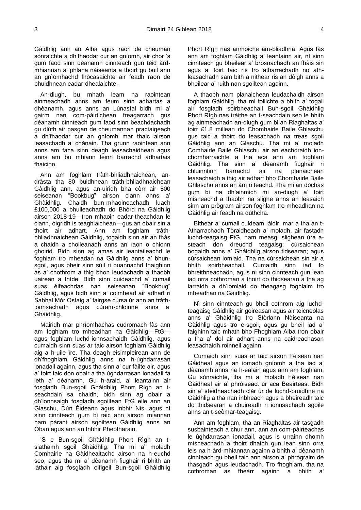Gàidhlig ann an Alba agus raon de cheuman sònraichte a dh'fhaodar cur an gnìomh, air chor 's gum faod sinn dèanamh cinnteach gun tèid àrdmhiannan a' phlana nàiseanta a thoirt gu buil ann an gnìomhachd fhòcasaichte air feadh raon de bhuidhnean eadar-dhealaichte.

An-diugh, bu mhath leam na raointean ainmeachadh anns am feum sinn adhartas a dhèanamh, agus anns an Lùnastal bidh mi a' gairm nan com-pàirtichean freagarrach gus dèanamh cinnteach gum faod sinn beachdachadh gu dlùth air pasgan de cheumannan practaigeach a dh'fhaodar cur an gnìomh mar thaic airson leasachadh a' chànain. Tha grunn raointean ann anns am faca sinn deagh leasachaidhean agus anns am bu mhiann leinn barrachd adhartais fhaicinn.

Ann am foghlam tràth-bhliadhnaichean, andràsta tha 80 buidhnean tràth-bhliadhnaichean Gàidhlig ann, agus an-uiridh bha còrr air 500 seiseanan "Bookbug" airson clann anns a' Ghàidhlig. Chaidh bun-mhaoineachadh luach £100,000 a bhuileachadh do Bhòrd na Gàidhlig airson 2018-19—tron mhaoin eadar-theachdan le clann, òigridh is teaghlaichean—gus an obair sin a thoirt air adhart. Ann am foghlam tràthbhliadhnaichean Gàidhlig, togaidh sinn air an fhàs a chaidh a choileanadh anns an raon o chionn ghoirid. Bidh sinn ag amas air leantaileachd le foghlam tro mheadan na Gàidhlig anns a' bhunsgoil, agus bheir sinn sùil ri buannachd fhaighinn às a' chothrom a thig bhon leudachadh a thaobh uairean a thìde. Bidh sinn cuideachd a' cumail suas èifeachdas nan seiseanan "Bookbug" Gàidhlig, agus bidh sinn a' coimhead air adhart ri Sabhal Mòr Ostaig a' tairgse cùrsa ùr ann an tràthionnsachadh agus cùram-chloinne anns a' Ghàidhlig.

Mairidh mar phrìomhachas cudromach fàs ann am foghlam tro mheadhan na Gàidhlig—FtG agus foghlam luchd-ionnsachaidh Gàidhlig, agus cumaidh sinn suas ar taic airson foghlam Gàidhlig aig a h-uile ìre. Tha deagh eisimpleirean ann de dh'fhoghlam Gàidhlig anns na h-ùghdarrasan ionadail againn, agus tha sinn a' cur fàilte air, agus a' toirt taic don obair a tha ùghdarrasan ionadail fa leth a' dèanamh. Gu h-àraid, a' leantainn air fosgladh Bun-sgoil Ghàidhlig Phort Rìgh an tseachdain sa chaidh, bidh sinn ag obair a dh'ionnsaigh fosgladh sgoiltean FtG eile ann an Glaschu, Dùn Èideann agus Inbhir Nis, agus nì sinn cinnteach gum bi taic ann airson miannan nam pàrant airson sgoiltean Gàidhlig anns an Òban agus ann an Inbhir Pheofharain.

'S e Bun-sgoil Ghàidhlig Phort Rìgh an tsiathamh sgoil Ghàidhlig. Tha mi a' moladh Comhairle na Gàidhealtachd airson na h-euchd seo, agus tha mi a' dèanamh fiughair ri bhith an làthair aig fosgladh oifigeil Bun-sgoil Ghàidhlig

Phort Rìgh nas anmoiche am-bliadhna. Agus fàs ann am foghlam Gàidhlig a' leantainn air, nì sinn cinnteach gu bheilear a' brosnachadh an fhàis sin agus a' toirt taic ris tro atharrachadh no athleasachadh sam bith a nithear ris an dòigh anns a bheilear a' ruith nan sgoiltean againn.

A thaobh nam planaichean leudachaidh airson foghlam Gàidhlig, tha mi toilichte a bhith a' togail air fosgladh soirbheachail Bun-sgoil Ghàidhlig Phort Rìgh nas tràithe an t-seachdain seo le bhith ag ainmeachadh an-diugh gum bi an Riaghaltas a' toirt £1.8 millean do Chomhairle Baile Ghlaschu gus taic a thoirt do leasachadh na treas sgoil Gàidhlig ann an Glaschu. Tha mi a' moladh Comhairle Baile Ghlaschu air an eachdraidh ionchomharraichte a tha aca ann am foghlam Gàidhlig. Tha sinn a' dèanamh fiughair ri chluinntinn barrachd air na planaichean leasachaidh a thig air adhart bho Chomhairle Baile Ghlaschu anns an àm ri teachd. Tha mi an dòchas gum bi na dh'ainmich mi an-diugh a' toirt misneachd a thaobh na slighe anns an leasaich sinn am prògram airson foghlam tro mheadhan na Gàidhlig air feadh na dùthcha.

Bithear a' cumail cuideam làidir, mar a tha an t-Atharrachadh Tòraidheach a' moladh, air fastadh luchd-teagaisg FtG, nam measg: slighean ùra asteach don dreuchd teagaisg; cùrsaichean bogaidh anns a' Ghàidhlig airson tidsearan; agus cùrsaichean iomlaid. Tha na cùrsaichean sin air a bhith soirbheachail. Cumaidh sinn iad fo bhreithneachadh, agus nì sinn cinnteach gun lean iad orra cothroman a thoirt do thidsearan a tha ag iarraidh a dh'iomlaid do theagasg foghlaim tro mheadhan na Gàidhlig.

Nì sinn cinnteach gu bheil cothrom aig luchdteagaisg Gàidhlig air goireasan agus air teicneòlas anns a' Ghàidhlig tro Stòrlann Nàiseanta na Gàidhlig agus tro e-sgoil, agus gu bheil iad a' faighinn taic mhath bho Fhoghlam Alba tron obair a tha a' dol air adhart anns na caidreachasan leasachaidh roinneil againn.

Cumaidh sinn suas ar taic airson Fèisean nan Gàidheal agus an iomadh gnìomh a tha iad a' dèanamh anns na h-ealain agus ann am foghlam. Gu sònraichte, tha mi a' moladh Fèisean nan Gàidheal air a' phròiseact ùr aca Beairteas. Bidh sin a' stèidheachadh clàr ùr de luchd-bruidhne na Gàidhlig a tha nan inbheach agus a bheireadh taic do thidsearan a chuireadh ri ionnsachadh sgoile anns an t-seòmar-teagaisg.

Ann am foghlam, tha an Riaghaltas air tasgadh susbainteach a chur ann, ann an com-pàirteachas le ùghdarrasan ionadail, agus is urrainn dhomh misneachadh a thoirt dhaibh gun lean sinn orra leis na h-àrd-mhiannan againn a bhith a' dèanamh cinnteach gu bheil taic ann airson a' phrògraim de thasgadh agus leudachadh. Tro fhoghlam, tha na cothroman as fheàrr againn a bhith a'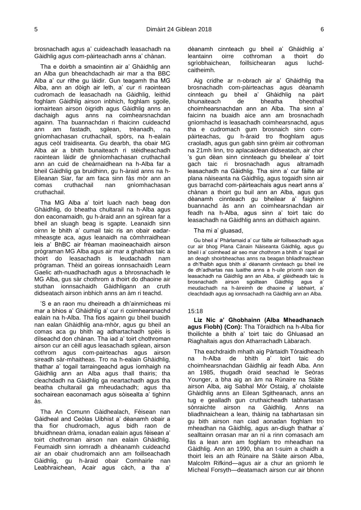brosnachadh agus a' cuideachadh leasachadh na Gàidhlig agus com-pàirteachadh anns a' chànan.

Tha e doirbh a smaointinn air a' Ghàidhlig ann an Alba gun bheachdachadh air mar a tha BBC Alba a' cur rithe gu làidir. Gun teagamh tha MG Alba, ann an dòigh air leth, a' cur ri raointean cudromach de leasachadh na Gàidhlig, leithid foghlam Gàidhlig airson inbhich, foghlam sgoile, iomairtean airson òigridh agus Gàidhlig anns an dachaigh agus anns na coimhearsnachdan againn. Tha buannachdan ri fhaicinn cuideachd ann am fastadh, sgilean, trèanadh, na gnìomhachasan cruthachail, spòrs, na h-ealain agus ceòl traidiseanta. Gu dearbh, tha obair MG Alba air a bhith bunaiteach ri stèidheachadh raointean làidir de ghnìomhachasan cruthachail ann an cuid de cheàrnaidhean na h-Alba far a bheil Gàidhlig ga bruidhinn, gu h-àraid anns na h-Eileanan Siar, far am faca sinn fàs mòr ann an comas cruthachail nan gnìomhachasan cruthachail.

Tha MG Alba a' toirt luach nach beag don Ghàidhlig, do bheatha chultarail na h-Alba agus don eaconamaidh, gu h-àraid ann an sgìrean far a bheil an sluagh beag is sgapte. Leanaidh sinn oirnn le bhith a' cumail taic ris an obair eadarmheasgte aca, agus leanaidh na còmhrraidhean leis a' BhBC air frèaman maoineachaidh airson prògraman MG Alba agus air mar a ghabhas taic a thoirt do leasachadh is leudachadh nam prògraman. Thèid an goireas ionnsachaidh Learn Gaelic ath-nuadhachadh agus a bhrosnachadh le MG Alba, gus sàr chothrom a thoirt do dhaoine air stuthan ionnsachaidh Gàidhligann an cruth didseatach airson inbhich anns an àm ri teachd.

'S e an raon mu dheireadh a dh'ainmicheas mi mar a bhios a' Ghàidhlig a' cur ri coimhearsnachd ealain na h-Alba. Tha fios againn gu bheil buaidh nan ealan Ghàidhlig ana-mhòr, agus gu bheil an comas aca gu bhith ag adhartachadh spèis is dìlseachd don chànan. Tha iad a' toirt chothroman airson cur an cèill agus leasachadh sgilean, airson cothrom agus com-pairteachas agus airson sireadh sàr-mhaitheas. Tro na h-ealain Ghàidhlig, thathar a' togail tarraingeachd agus ìomhaigh na Gàidhlig ann an Alba agus thall thairis; tha cleachdadh na Gàidhlig ga neartachadh agus tha beatha chultarail ga mheudachadh; agus tha sochairean eaconamach agus sòisealta a' tighinn às.

Tha An Comunn Gàidhealach, Fèisean nan Gàidheal and Ceòlas Uibhist a' dèanamh obair a tha fìor chudromach, agus bidh raon de bhuidhnean dràma, ionadan ealain agus fèisean a' toirt chothroman airson nan ealain Ghàidhlig. Feumaidh sinn iomradh a dhèanamh cuideachd air an obair chudromaich ann am foillseachadh Gàidhlig, gu h-àraid obair Comhairle nan Leabhraichean, Acair agus càch, a tha a' dèanamh cinnteach gu bheil a' Ghàidhlig a' leantainn oirre cothroman a thoirt do sgrìobhaichean, foillsichearan agus luchdcaitheimh.

Aig cridhe ar n-obrach air a' Ghàidhlig tha brosnachadh com-pàirteachas agus dèanamh cinnteach gu bheil a' Ghàidhlig na pàirt bhunaiteach de bheatha bheothail choimhearsnachdan ann an Alba. Tha sinn a' faicinn na buaidh aice ann am brosnachadh gnìomhachd is leasachadh coimhearsnachd, agus tha e cudromach gum brosnaich sinn compàirteachas, gu h-àraid tro fhoghlam agus craoladh, agus gun gabh sinn grèim air cothroman na 21mh linn, tro aplacaidean didseatach, air chor 's gun dèan sinn cinnteach gu bheilear a' toirt gach taic ri brosnachadh agus altramadh leasachadh na Gàidhlig. Tha sinn a' cur fàilte air plana nàiseanta na Gàidhlig, agus togaidh sinn air gus barrachd com-pàirteachais agus neart anns a' chànan a thoirt gu buil ann an Alba, agus gus dèanamh cinnteach gu bheilear a' faighinn buannachd às ann an coimhearsnachdan air feadh na h-Alba, agus sinn a' toirt taic do leasachadh na Gàidhlig anns an dùthaich againn.

Tha mi a' gluasad,

Gu bheil a' Phàrlamaid a' cur fàilte air foillseachadh agus cur air bhog Plana Cànain Nàiseanta Gàidhlig, agus gu bheil i a' coimhead air seo mar chothrom a bhith a' togail air an deagh shoirbheachas anns na beagan bhliadhnaichean a dh'fhalbh agus bhith a' dèanamh cinnteach gu bheil ìre de dh'adhartas nas luaithe anns a h-uile prìomh raon de leasachadh na Gàidhlig ann an Alba, a' glèidheadh taic is<br>brosnachadh airson sgoiltean Gàidhlig agus a' brosnachadh airson sgoiltean Gàidhlig agus a' meudachadh na h-àireimh de dhaoine a' labhairt, a' cleachdadh agus ag ionnsachadh na Gàidhlig ann an Alba.

#### 15:18

<span id="page-6-0"></span>**Liz Nic a' Ghobhainn (Alba Mheadhanach agus Fìobh) (Con):** Tha Tòraidhich na h-Alba fìor thoilichte a bhith a' toirt taic do Ghluasad an Riaghaltais agus don Atharrachadh Làbarach.

Tha eachdraidh mhath aig Pàrtaidh Tòraidheach na h-Alba de bhith a' toirt taic do choimhearsnachdan Gàidhlig air feadh Alba. Ann an 1985, thugadh òraid seachad le Seòras Younger, a bha aig an àm na Rùnaire na Stàite airson Alba, aig Sabhal Mòr Ostaig, a' cholaiste Ghàidhlig anns an Eilean Sgitheanach, anns an tug e gealladh gun cruthaicheadh tabhartasan sònraichte airson na Gàidhlig. Anns na bliadhnaichean a lean, thàinig na tabhartasan sin gu bith airson nan ciad aonadan foghlam tro mheadhan na Gàidhlig, agus an-diugh thathar a' sealltainn orrasan mar an nì a rinn comasach am fàs a lean ann am foghlam tro mheadhan na Gàidhlig. Ann an 1990, bha an t-suim a chaidh a thoirt leis an ath Rùnaire na Stàite airson Alba, Malcolm Rifkind—agus air a chur an gnìomh le Mìcheal Forsyth—deatamach airson cur air bhonn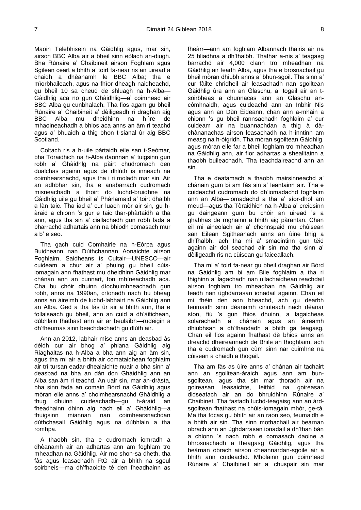Maoin Telebhisein na Gàidhlig agus, mar sin, airson BBC Alba air a bheil sinn eòlach an-diugh. Bha Rùnaire a' Chaibineit airson Foghlam agus Sgilean ceart a bhith a' toirt fa-near ris an uiread a chaidh a dhèanamh le BBC Alba; tha e mìorbhaileach, agus na fhìor dheagh naidheachd, gu bheil 10 sa cheud de shluagh na h-Alba— Gàidhlig aca no gun Ghàidhlig—a' coimhead air BBC Alba gu cunbhalach. Tha fios agam gu bheil Rùnaire a' Chaibineit a' dèiligeadh ri draghan aig BBC Alba mu dheidhinn na h-ìre de mhaoineachadh a bhios aca anns an àm ri teachd agus a' bhuaidh a thig bhon t-sianal ùr aig BBC Scotland.

Coltach ris a h-uile pàrtaidh eile san t-Seòmar, bha Tòraidhich na h-Alba daonnan a' tuigsinn gun robh a' Ghàidhlg na pàirt chudromach den dualchas againn agus de dhlùth is inneach na coimhearsnachd, agus tha i ri moladh mar sin. Air an adhbhar sin, tha e anabarrach cudromach misneachadh a thoirt do luchd-bruidhne na Gàidhlig uile gu bheil a' Phàrlamaid a' toirt dhaibh a làn taic. Tha iad a' cur luach mòr air sin, gu hàraid a chionn 's gur e taic thar-phàrtaidh a tha ann, agus tha sin a' ciallachadh gun robh fada a bharrachd adhartais ann na bhiodh comasach mur a b' e seo.

Tha gach cuid Comhairle na h-Eòrpa agus Buidheann nan Dùthchannan Aonaichte airson Foghlaim, Saidheans is Cultair—UNESCO—air cuideam a chur air a' phuing gu bheil cùisiomagain ann fhathast mu dheidhinn Gàidhlig mar chànan ann an cunnart, fon mhìneachadh aca. Cha bu chòir dhuinn dìochuimhneachadh gun robh, anns na 1990an, crìonadh nach bu bheag anns an àireimh de luchd-labhairt na Gàidhlig ann an Alba. Ged a tha fàs ùr air a bhith ann, tha e follaiseach gu bheil, ann an cuid a dh'àitichean, dùbhlain fhathast ann air ar beulaibh—rudeigin a dh'fheumas sinn beachdachadh gu dlùth air.

Ann an 2012, labhair mise anns an deasbad às dèidh cur air bhog a' phlana Gàidhlig aig Riaghaltas na h-Alba a bha ann aig an àm sin, agus tha mi air a bhith air comataidhean foghlaim air trì tursan eadar-dhealaichte nuair a bha sinn a' deasbad na bha an dàn don Ghàidhlig ann an Alba san àm ri teachd. An uair sin, mar an-dràsta, bha sinn fada an comain Bòrd na Gàidhlig agus mòran eile anns a' choimhearsnachd Ghàidhlig a thug dhuinn cuideachadh—gu h-àraid an fheadhainn dhinn aig nach eil a' Ghàidhlig—a thuigsinn miannan nan coimhearsnachdan dùthchasail Gàidhlig agus na dùbhlain a tha romhpa.

A thaobh sin, tha e cudromach iomradh a dhèanamh air an adhartas ann am foghlam tro mheadhan na Gàidhlig. Air mo shon-sa dheth, tha fàs agus leasachadh FtG air a bhith na sgeul soirbheis—ma dh'fhaoidte tè den fheadhainn as

fheàrr—ann am foghlam Albannach thairis air na 25 bliadhna a dh'fhalbh. Thathar a-nis a' teagasg barrachd air 4,000 clann tro mheadhan na Gàidhlig air feadh Alba, agus tha e brosnachail gu bheil mòran dhiubh anns a' bhun-sgoil. Tha sinn a' cur fàilte chridheil air leasachadh nan sgoiltean Gàidhlig ùra ann an Glaschu, a' togail air an tsoirbheas a chunnacas ann an Glaschu ancòmhnaidh, agus cuideachd ann an Inbhir Nis agus ann an Dùn Èideann, chan ann a-mhàin a chionn 's gu bheil rannsachadh foghlaim a' cur cuideam air na buannachdan a thig à dàchànanachas airson leasachadh na h-inntinn am measg na h-òigridh. Tha mòran sgoiltean Gàidhlig, agus mòran eile far a bheil foghlam tro mheadhan na Gàidhlig ann, air fìor adhartas a shealltainn a thaobh buileachadh. Tha teachdaireachd ann an sin.

Tha e deatamach a thaobh mairsinneachd a' chànain gum bi am fàs sin a' leantainn air. Tha e cuideachd cudromach do dh'iomadachd foghlaim ann an Alba—iomadachd a tha a' sìor-dhol am meud—agus tha Tòraidhich na h-Alba a' creidsinn gu daingeann gum bu chòir an uiread 's a ghabhas de roghainn a bhith aig pàrantan. Chan eil mi aineolach air a' chonnspaid mu chùisean san Eilean Sgitheanach anns an ùine bhig a dh'fhalbh, ach tha mi a' smaointinn gun tèid againn air dol seachad air sin ma tha sinn a' dèiligeadh ris na cùisean gu faiceallach.

Tha mi a' toirt fa-near gu bheil draghan air Bòrd na Gàidhlig am bi am Bile foghlaim a tha ri thighinn a' lagachadh nan ullachaidhean reachdail airson foghlam tro mheadhan na Gàidhlig air feadh nan ùghdarrasan ionadail againn. Chan eil mi fhèin den aon bheachd, ach gu dearbh feumaidh sinn dèanamh cinnteach nach dèanar sìon, fiù 's gun fhios dhuinn, a lagaicheas solarachadh a' chànain agus an àireamh dhiubhsan a dh'fhaodadh a bhith ga teagasg. Chan eil fios againn fhathast dè bhios anns an dreachd dheireannach de Bhile an fhoghlaim, ach tha e cudromach gun cùm sinn nar cuimhne na cùisean a chaidh a thogail.

Tha am fàs as ùire anns a' chànan air tachairt ann an sgoiltean-àraich agus ann am bunsgoiltean, agus tha sin mar thoradh air na goireasan leasaichte, leithid na goireasan didseatach air an do bhruidhinn Rùnaire a' Chaibinet. Tha fastadh luchd-teagaisg ann an àrdsgoiltean fhathast na chùis-iomagain mhòr, ge-tà. Ma tha fòcas gu bhith air an raon seo, feumaidh e a bhith air sin. Tha sinn mothachail air beàrnan obrach ann an ùghdarrasan ionadail a dh'fhan bàn a chionn 's nach robh e comasach daoine a bhrosnachadh a theagasg Gàidhlig, agus tha beàrnan obrach airson cheannardan-sgoile air a bhith ann cuideachd. Mholainn gun coimhead Rùnaire a' Chaibineit air a' chuspair sin mar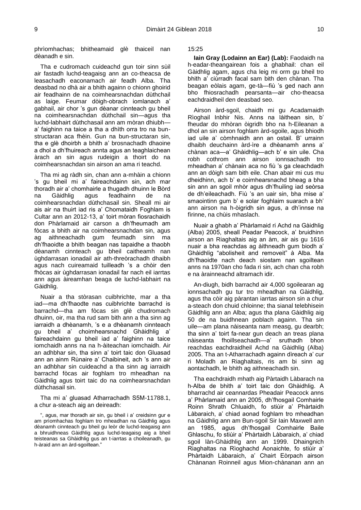phrìomhachas; bhitheamaid glè thaiceil nan dèanadh e sin.

Tha e cudromach cuideachd gun toir sinn sùil air fastadh luchd-teagaisg ann an co-theacsa de leasachadh eaconamach air feadh Alba. Tha deasbad no dhà air a bhith againn o chionn ghoirid air feadhainn de na coimhearsnachdan dùthchail as laige. Feumar dòigh-obrach iomlanach a' gabhail, air chor 's gun dèanar cinnteach gu bheil na coimhearsnachdan dùthchail sin—agus tha luchd-labhairt dùthchasail ann am mòran dhiubh a' faighinn na taice a tha a dhìth orra tro na bunstructaran aca fhèin. Gun na bun-structaran sin, tha e glè dhoirbh a bhith a' brosnachadh dhaoine a dhol a dh'fhuireach annta agus an teaghlaichean àrach an sin agus rudeigin a thoirt do na coimhearsnachdan sin airson an ama ri teachd.

Tha mi ag ràdh sin, chan ann a-mhàin a chionn 's gu bheil mi a' faireachdainn sin, ach mar thoradh air a' chomhairle a thugadh dhuinn le Bòrd na Gàidhlig agus feadhainn de na coimhearsnachdan dùthchasail sin. Sheall mi air ais air na thuirt iad ris a' Chomataidh Foghlam is Cultar ann an 2012-13, a' toirt mòran fiosrachaidh don Phàrlamaid air carson a dh'fheumadh am fòcas a bhith air na coimhearsnachdan sin, agus ag aithneachadh gum feumadh sinn ma dh'fhaoidte a bhith beagan nas tapaidhe a thaobh dèanamh cinnteach gu bheil caitheamh nan ùghdarrasan ionadail air ath-threòrachadh dhaibh agus nach cuireamaid tuilleadh 's a chòir den fhòcas air ùghdarrasan ionadail far nach eil iarrtas ann agus àireamhan beaga de luchd-labhairt na Gàidhlig.

Nuair a tha stòrasan cuibhrichte, mar a tha iad—ma dh'fhaodte nas cuibhrichte barrachd is barrachd—tha am fòcas sin glè chudromach dhuinn, oir, ma tha rud sam bith ann a tha sinn ag iarraidh a dhèanamh, 's e a dhèanamh cinnteach gu bheil a' choimhearsnachd Ghàidhlig a' faireachdainn gu bheil iad a' faighinn na taice iomchaidh anns na na h-àiteachan iomchaidh. Air an adhbhar sin, tha sinn a' toirt taic don Gluasad ann an ainm Rùnaire a' Chaibineit, ach 's ann air an adhbhar sin cuideachd a tha sinn ag iarraidh barrachd fòcas air foghlam tro mheadhan na Gàidhlig agus toirt taic do na coimhearsnachdan dùthchasail sin.

Tha mi a' gluasad Atharrachadh S5M-11788.1, a chur a-steach aig an deireadh:

", agus, mar thoradh air sin, gu bheil i a' creidsinn gur e am prìomhachas foghlam tro mheadhan na Gàidhlig agus dèanamh cinnteach gu bheil gu leòr de luchd-teagaisg ann a bhruidhneas Gàidhlig agus luchd-teagaisg aig a bheil teisteanas sa Ghàidhlig gus an t-iarrtas a choileanadh, gu h-àraid ann an àrd-sgoiltean."

15:25

<span id="page-8-0"></span>**Iain Gray (Lodainn an Ear) (Lab):** Faodaidh na h-eadar-theangairean fois a ghabhail: chan eil Gàidhlig agam, agus cha leig mi orm gu bheil tro bhith a' ciùrradh facal sam bith den chànan. Tha beagan eòlais agam, ge-tà—fiù 's ged nach ann bho fhiosrachadh pearsanta—air cho-theacsa eachdraidheil den deasbad seo.

Airson àrd-sgoil, chaidh mi gu Acadamaidh Rìoghail Inbhir Nis. Anns na làithean sin, b' fheudar do mhòran òigridh bho na h-Eileanan a dhol an sin airson foghlam àrd-sgoile, agus bhiodh iad uile a' còmhnaidh ann an ostail. B' urrainn dhaibh deuchainn àrd-ìre a dhèanamh anns a' chànan aca—a' Ghàidhlig—ach b' e sin uile. Cha robh cothrom ann airson ionnsachadh tro mheadhan a' chànain aca no fiù 's ga cleachdadh ann an dòigh sam bith eile. Chan abair mi cus mu dheidhinn, ach b' e coimhearsnachd bheag a bha sin ann an sgoil mhòr agus dh'fhuiling iad seòrsa de dh'eileachadh. Fiù 's an uair sin, bha mise a' smaointinn gum b' e solar foghlaim suarach a bh' ann airson na h-òigridh sin agus, a dh'innse na fìrinne, na chùis mhaslach.

Nuair a ghabh a' Phàrlamaid ri Achd na Gàidhlig (Alba) 2005, sheall Peadar Peacock, a' bruidhinn airson an Riaghaltais aig an àm, air ais gu 1616 nuair a bha reachdas ag àithneadh gum biodh a' Ghàidhlig "abolisheit and removeit" à Alba. Ma dh'fhaoidte nach deach siostam nan sgoiltean anns na 1970an cho fada ri sin, ach chan cha robh e na àrainneachd altramach idir.

An-diugh, bidh barrachd air 4,000 sgoilearan ag ionnsachadh gu tur tro mheadhan na Gàidhlig, agus tha còir aig pàrantan iarrtas airson sin a chur a-steach don chuid chloinne; tha sianal telebhisein Gàidhlig ann an Alba; agus tha plana Gàidhlig aig 50 de na buidhnean poblach againn. Tha sin uile—am plana nàiseanta nam measg, gu dearbh; tha sinn a' toirt fa-near gun deach an treas plana nàiseanta fhoillseachadh—a' sruthadh bhon reachdas eachdraidheil Achd na Gàidhlig (Alba) 2005. Tha an t-Atharrachadh againn dìreach a' cur ri Moladh an Riaghaltais, ris am bi sinn ag aontachadh, le bhith ag aithneachadh sin.

Tha eachdraidh mhath aig Pàrtaidh Làbarach na h-Alba de bhith a' toirt taic don Ghàidhlig. A bharrachd air ceannardas Pheadair Peacock anns a' Phàrlamaid ann an 2005, dh'fhosgail Comhairle Roinn Shrath Chluaidh, fo stiùir a' Phàrtaidh Làbaraich, a' chiad aonad foghlam tro mheadhan na Gàidhlig ann am Bun-sgoil Sir Iain Maxwell ann an 1985, agus dh'fhosgail Comhairle Baile Ghlaschu, fo stiùir a' Phàrtaidh Làbaraich, a' chiad sgoil làn-Ghàidhlig ann an 1999. Dhaingnich Riaghaltas na Rìoghachd Aonaichte, fo stiùir a' Phàrtaidh Làbaraich, a' Chairt Eòrpach airson Chànanan Roinneil agus Mion-chànanan ann an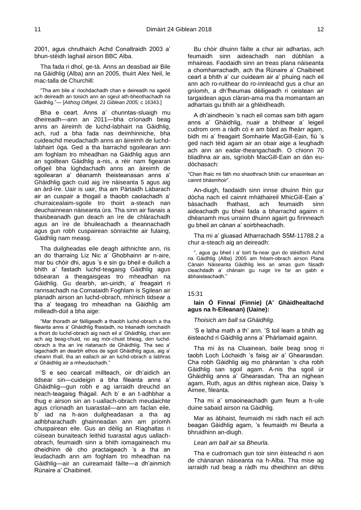2001, agus chruthaich Achd Conaltraidh 2003 a' bhun-stèidh laghail airson BBC Alba.

Tha fada ri dhol, ge-tà. Anns an deasbad air Bile na Gàidhlig (Alba) ann an 2005, thuirt Alex Neil, le mac-talla de Churchill:

"Tha am bile a' riochdachadh chan e deireadh na sgeòil ach deireadh an toisich ann an sgeul ath-bheothachadh na Gàidhlig."— [*Aithisg Oifigeil, 21 Giblean 2005;* c 16343.]

Bha e ceart. Anns a' chunntas-sluaigh mu dheireadh—ann an 2011—bha crìonadh beag anns an àireimh de luchd-labhairt na Gàidhlig, ach, rud a bha fada nas deimhinniche, bha cuideachd meudachadh anns an àireimh de luchdlabhairt òga. Ged a tha barrachd sgoilearan ann am foghlam tro mheadhan na Gàidhlig agus ann an sgoiltean Gàidhlig a-nis, a rèir nam figearan oifigeil bha lùghdachadh anns an àireimh de sgoilearan a' dèanamh theisteanasan anns a' Ghàidhlig gach cuid aig ìre nàiseanta 5 agus aig an àrd-ìre. Uair is uair, tha am Pàrtaidh Làbarach air an cuspair a thogail a thaobh caolachadh a' churraicealaim-sgoile tro thoirt a-steach nan deuchainnean nàiseanta ùra. Tha sinn air fianais a thaisbeanadh gun deach an ìre de chlàrachadh agus an ìre de bhuileachadh a theannachadh agus gun robh cuspairean sònraichte air fulaing, Gàidhlig nam measg.

Tha duilgheadas eile deagh aithnichte ann, ris an do tharraing Liz Nic a' Ghobhainn ar n-aire, mar bu chòir dhi, agus 's e sin gu bheil e duilich a bhith a' fastadh luchd-teagaisg Gàidhlig agus tidsearan a theagaisgeas tro mheadhan na Gàidhlig. Gu dearbh, an-uiridh, a' freagairt ri rannsachadh na Comataidh Foghlam is Sgilean air planadh airson an luchd-obrach, mhìnich tidsear a tha a' teagasg tro mheadhan na Gàidhlig am milleadh-dùil a bha aige:

"Mar thoradh air fàilligeadh a thaobh luchd-obrach a tha fileanta anns a' Ghàidhlig fhastadh, no trèanadh iomchaidh a thoirt do luchd-obrach aig nach eil a' Ghàidhlig, chan ann ach aig beag-chuid, no aig mòr-chuid bheag, den luchdobrach a tha an ìre riatanach de Ghàidhlig. Tha seo a' lagachadh an dearbh ethos de sgoil Ghàidhlig agus, aig a' cheann thall, tha an eallach air an luchd-obrach a labhras a' Ghàidhlig air a mheudachadh."

'S e seo cearcall millteach, oir dh'aidich an tidsear sin—cuideigin a bha fileanta anns a' Ghàidhlig—gun robh e ag iarraidh dreuchd an neach-teagaisg fhàgail. Ach b' e an t-adhbhar a thug e airson sin an t-uallach-obrach meudaichte agus crìonadh an tuarastail—ann am faclan eile, b' iad na h-aon duilgheadasan a tha ag adhbharachadh ghainneadan ann am prìomh chuspairean eile. Gus an dèilig an Riaghaltas ri cùisean bunaiteach leithid tuarastal agus uallachobrach, feumaidh sinn a bhith iomagaineach mu dheidhinn dè cho practaigeach 's a tha an leudachadh ann am foghlam tro mheadhan na Gàidhlig—air an cuireamaid fàilte—a dh'ainmich Rùnaire a' Chaibineit.

Bu chòir dhuinn fàilte a chur air adhartas, ach feumaidh sinn aideachadh nan dùbhlan a mhaireas. Faodaidh sinn an treas plana nàiseanta a chomharrachadh, ach tha Rùnaire a' Chaibineit ceart a bhith a' cur cuideam air a' phuing nach eil ann ach ro-ruithear do ro-innleachd gus a chur an gnìomh, a dh'fheumas dèiligeadh ri ceistean air targaidean agus clàran-ama ma tha momantam an adhartais gu bhith air a ghlèidheadh.

A dh'aindheoin 's nach eil comas sam bith agam anns a' Ghàidhlig, nuair a bhithear a' leigeil cudrom orm a ràdh cò e am bàrd as fheàrr agam, bidh mi a' freagairt Somhairle MacGill-Eain, fiù 's ged nach tèid agam air an obair aige a leughadh ach ann an eadar-theangachadh. O chionn 70 bliadhna air ais, sgrìobh MacGill-Eain an dàn eudòchasach:

"Chan fhaic mi fàth mo shaothrach bhith cur smaointean an cainnt bhàsmhoir".

An-diugh, faodaidh sinn innse dhuinn fhìn gur dòcha nach eil cainnt mhàthaireil MhicGill-Eain a' bàsachadh fhathast, ach feumaidh sinn aideachadh gu bheil fada a bharrachd againn ri dhèanamh mus urrainn dhuinn agairt gu fìrinneach gu bheil an cànan a' soirbheachadh.

Tha mi a' gluasad Atharrachadh S5M-11788.2 a chur a-steach aig an deireadh:

", agus gu bheil i a' toirt fa-near gun do stèidhich Achd na Gàidhlig (Alba) 2005 am frèam-obrach airson Plana Cànain Nàiseanta Gàidhlig leis an amas gum fàsadh cleachdadh a' chànain gu ruige ìre far an gabh e àbhaisteachadh."

#### 15:31

# <span id="page-9-0"></span>**Iain Ó Finnaí (Finnie) (A' Ghàidhealtachd agus na h-Eileanan) (Uaine):**

*Thoisich am ball sa Ghàidhlig.*

'S e latha math a th' ann. 'S toil leam a bhith ag èisteachd ri Gàidhlig anns a' Phàrlamaid againn.

Tha mi às na Cluainean, baile beag snog ri taobh Loch Lòchaidh 's faisg air a' Ghearasdan. Cha robh Gàidhlig aig mo phàrantan 's cha robh Gàidhlig san sgoil agam. A-nis tha sgoil ùr Ghàidhlig anns a' Ghearasdan. Tha an nighean agam, Ruth, agus an dithis nighean aice, Daisy 's Aimee, fileanta.

Tha mi a' smaoineachadh gum feum a h-uile duine sabaid airson na Gàidhlig.

Mar as àbhaist, feumaidh mi ràdh nach eil ach beagan Gàidhlig agam, 's feumaidh mi Beurla a bhruidhinn an-diugh.

#### *Lean am ball air sa Bheurla.*

Tha e cudromach gun toir sinn èisteachd ri aon de chànanan nàiseanta na h-Alba. Tha mise ag iarraidh rud beag a ràdh mu dheidhinn an dithis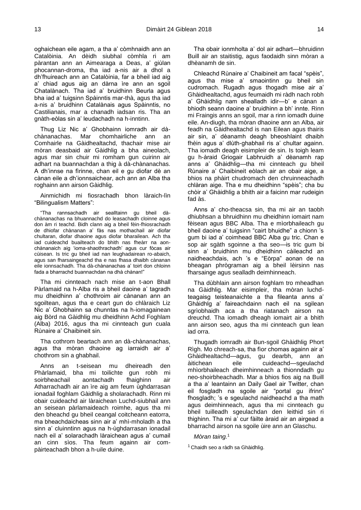oghaichean eile agam, a tha a' còmhnaidh ann an Catalòinia. An dèidh siubhal còmhla ri am pàrantan ann an Aimearaga a Deas, a' giùlan phocannan-droma, tha iad a-nis air a dhol a dh'fhuireach ann an Catalòinia, far a bheil iad aig a' chiad agus aig an dàrna ìre ann an sgoil Chatalànach. Tha iad a' bruidhinn Beurla agus bha iad a' tuigsinn Spàinntis mar-thà, agus tha iad a-nis a' bruidhinn Catalànais agus Spàinntis, no Castilianais, mar a chanadh iadsan ris. Tha an gnàth-eòlas sin a' leudachadh na h-inntinn.

Thug Liz Nic a' Ghobhainn iomradh air dàchànanachas. Mar chomhairliche ann an Comhairle na Gàidhealtachd, thachair mise air mòran deasbaid air Gàidhlig a bha aineolach, agus mar sin chuir mi romham gun cuirinn air adhart na buannachdan a thig à dà-chànanachas. A dh'innse na fìrinne, chan eil e gu diofar dè an cànan eile a dh'ionnsaichear, ach ann an Alba tha roghainn ann airson Gàidhlig.

Ainmichidh mi fiosrachadh bhon làraich-lìn "Bilingualism Matters":

"Tha rannsachadh air sealltainn gu bheil dàchànanachas na bhuannachd do leasachadh cloinne agus don àm ri teachd. Bidh clann aig a bheil fèin-fhiosrachadh de dhiofar chànanan a' fàs nas mothachail air diofar chultaran, diofar dhaoine agus diofar bharailean. Ach tha iad cuideachd buailteach do bhith nas fheàrr na aonchànanaich aig 'ioma-shaothrachadh' agus cur fòcas air cùisean. Is tric gu bheil iad nan leughadairean ro-abaich, agus san fharsaingeachd tha e nas fhasa dhaibh cànanan eile ionnsachadh. Tha dà-chànanachas a' toirt don chloinn fada a bharrachd buannachdan na dhà chànan!"

Tha mi cinnteach nach mise an t-aon Bhall Pàrlamaid na h-Alba ris a bheil daoine a' tagradh mu dheidhinn a' chothroim air cànanan ann an sgoiltean, agus tha e ceart gun do chlàraich Liz Nic a' Ghobhainn sa chunntas na h-iomagainean aig Bòrd na Gàidhlig mu dheidhinn Achd Foghlam (Alba) 2016, agus tha mi cinnteach gun cuala Rùnaire a' Chaibineit sin.

Tha cothrom beartach ann an dà-chànanachas, agus tha mòran dhaoine ag iarraidh air a' chothrom sin a ghabhail.

Anns an t-seisean mu dheireadh den Phàrlamaid, bha mi toilichte gun robh mi soirbheachail aontachadh fhaighinn air Atharrachadh air an ìre aig am feum ùghdarrasan ionadail foghlam Gàidhlig a sholarachadh. Rinn mi obair cuideachd air làraichean Luchd-siubhail ann an seisean pàrlamaideach roimhe, agus tha mi den bheachd gu bheil ceangal coitcheann eatorra, ma bheachdaicheas sinn air a' mhì-mholadh a tha sinn a' cluinntinn agus na h-ùghdarrasan ionadail nach eil a' solarachadh làraichean agus a' cumail an cinn sìos. Tha feum againn air compàirteachadh bhon a h-uile duine.

Tha obair ionmholta a' dol air adhart—bhruidinn Buill air an staitistig, agus faodaidh sinn mòran a dhèanamh de sin.

Chleachd Rùnaire a' Chaibineit am facal "spèis", agus tha mise a' smaointinn gu bheil sin cudromach. Rugadh agus thogadh mise air a' Ghàidhealtachd, agus feumaidh mi ràdh nach robh a' Ghàidhlig nam shealladh idir—b' e cànan a bhiodh seann daoine a' bruidhinn a bh' innte. Rinn mi Fraingis anns an sgoil, mar a rinn iomadh duine eile. An-diugh, tha mòran dhaoine ann an Alba, air feadh na Gàidhealtachd is nan Eilean agus thairis air sin, a' dèanamh deagh bheoshlaint dhaibh fhèin agus a' dlùth-ghabhail ris a' chultar againn. Tha iomadh deagh eisimpleir de sin. Is toigh leam gu h-àraid Griogair Labhruidh a' dèanamh rap anns a' Ghàidhlig—tha mi cinnteach gu bheil Rùnaire a' Chaibineit eòlach air an obair aige, a bhios na phàirt chudromach den chruinneachadh chlàran aige. Tha e mu dheidhinn "spèis"; cha bu chòir a' Ghàidhlig a bhith air a faicinn mar rudeigin fad às.

Anns a' cho-theacsa sin, tha mi air an taobh dhiubhsan a bhruidhinn mu dheidhinn iomairt nam fèisean agus BBC Alba. Tha e mìorbhaileach gu bheil daoine a' tuigsinn "cairt bhuidhe" a chionn 's gum bi iad a' coimhead BBC Alba gu tric. Chan e sop air sgàth sgoinne a tha seo—is tric gum bi sinn a' bruidhinn mu dheidhinn càileachd an naidheachdais, ach 's e "Eòrpa" aonan de na bheagan phrògraman aig a bheil lèirsinn nas fharsainge agus sealladh deimhinneach.

Tha dùbhlain ann airson foghlam tro mheadhan na Gàidhlig. Mar eisimpleir, tha mòran luchdteagaisg teisteanaichte a tha fileanta anns a' Ghàidhlg a' faireachdainn nach eil na sgilean sgrìobhaidh aca a tha riatanach airson na dreuchd. Tha iomadh dheagh iomairt air a bhith ann airson seo, agus tha mi cinnteach gun lean iad orra.

Thugadh iomradh air Bun-sgoil Ghàidhlig Phort Rìgh. Mo chreach-sa, tha fìor chomas againn air a' Ghàidhealtachd—agus, gu dearbh, ann an àitichean eile cuideachd—sgeulachd mhìorbhaileach dheimhinneach a thionndadh gu neo-shoirbheachadh. Mar a bhios fios aig na Buill a tha a' leantainn an Daily Gael air Twitter, chan eil fosgladh na sgoile air "portal gu ifrinn" fhosgladh; 's e sgeulachd naidheachd a tha math agus deimhinneach, agus tha mi cinnteach gu bheil tuilleadh sgeulachdan den leithid sin ri thighinn. Tha mi a' cur fàilte àraid air an airgead a bharrachd airson na sgoile ùire ann an Glaschu.

## *Mòran taing.*<sup>1</sup>

<sup>1</sup> Chaidh seo a ràdh sa Ghàidhlig.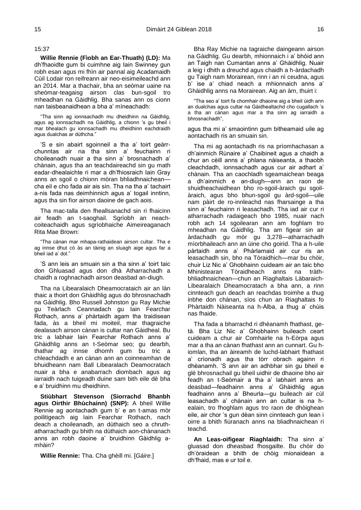## 15:37

<span id="page-11-0"></span>**Willie Rennie (Fìobh an Ear-Thuath) (LD):** Ma dh'fhaoidte gum bi cuimhne aig Iain Swinney gun robh esan agus mi fhìn air pannal aig Acadamaidh Cùil Lodair ron reifreann air neo-eisimeileachd ann an 2014. Mar a thachair, bha an seòmar uaine na sheòmar-teagaisg airson clas bun-sgoil tro mheadhan na Gàidhlig. Bha sanas ann os cionn nan taisbeanaidhean a bha a' mìneachadh:

"Tha sinn ag ionnsachadh mu dheidhinn na Gàidhlig, agus ag ionnsachadh na Gàidhlig, a chionn 's gu bheil i mar bhealach gu ionnsachadh mu dheidhinn eachdraidh agus dualchas ar dùthcha."

'S e sin abairt sgoinneil a tha a' toirt geàrrchunntas air na tha sinn a' feuchainn ri choileanadh nuair a tha sinn a' brosnachadh a' chànain, agus tha an teachdaireachd sin gu math eadar-dhealaichte ri mar a dh'fhiosraich Iain Gray anns an sgoil o chionn mòran bhliadhnaichean cha eil e cho fada air ais sin. Tha na tha a' tachairt a-nis fada nas deimhinnich agus a' togail inntinn, agus tha sin fìor airson daoine de gach aois.

Tha mac-talla den fheallsanachd sin ri fhaicinn air feadh an t-saoghail. Sgrìobh an neachcoiteachaidh agus sgrìobhaiche Aimeireaganach Rita Mae Brown:

"Tha cànan mar mhapa-rathaidean airson cultar. Tha e ag innse dhut cò às an tàinig an sluagh aige agus far a bheil iad a' dol."

'S ann leis an smuain sin a tha sinn a' toirt taic don Ghluasad agus don dhà Atharrachadh a chaidh a roghnachadh airson deasbad an-diugh.

Tha na Libearalaich Dheamocrataich air an làn thaic a thoirt don Ghàidhlig agus do bhrosnachadh na Gàidhlig. Bho Russell Johnston gu Ray Michie gu Teàrlach Ceannadach gu Iain Fearchar Rothach, anns a' phàrtaidh agam tha traidisean fada, às a bheil mi moiteil, mar thagraiche dealasach airson cànan is cultar nan Gàidheal. Bu tric a labhair Iain Fearchar Rothach anns a' Ghàidhlig anns an t-Seòmar seo; gu dearbh, thathar ag innse dhomh gum bu tric a chleachdadh e an cànan ann an coinneamhan de bhuidheann nam Ball Libearalach Deamocratach nuair a bha e anabarrach diombach agus ag iarraidh nach tuigeadh duine sam bith eile dè bha e a' bruidhinn mu dheidhinn.

**Stiùbhart Stevenson (Siorrachd Bhanbh agus Oirthir Bhùchainn) (SNP):** A bheil Willie Rennie ag aontachadh gum b' e an t-amas mòr poilitigeach aig Iain Fearchar Rothach, nach deach a choileanadh, an dùthaich seo a chruthatharrachadh gu bhith na dùthaich aon-chànanach anns an robh daoine a' bruidhinn Gàidhlig amhàin?

**Willie Rennie:** Tha. Cha ghèill mi. [*Gàire*.]

Bha Ray Michie na tagraiche daingeann airson na Gàidhlig. Gu dearbh, mhionnaich i a' bhòid ann an Taigh nan Cumantan anns a' Ghàidhlig. Nuair a leig i dhith a dreuchd agus chaidh a h-àrdachadh gu Taigh nam Morairean, rinn i an nì ceudna, agus b' ise a' chiad neach a mhionnaich anns a' Ghàidhlig anns na Morairean. Aig an àm, thuirt i:

"Tha seo a' toirt fa chomhair dhaoine aig a bheil ùidh ann an dualchas agus cultar na Gàidhealtachd cho cugallach 's a tha an cànan agus mar a tha sinn ag iarraidh a bhrosnachadh",

agus tha mi a' smaointinn gum bitheamaid uile ag aontachadh ris an smuain sin.

Tha mi ag aontachadh ris na prìomhachasan a dh'ainmich Rùnaire a' Chaibineit agus a chaidh a chur an cèill anns a' phlana nàiseanta, a thaobh cleachdadh, ionnsachadh agus cur air adhart a' chànain. Tha an caochladh sgeamaichean beaga a dh'ainmich e an-diugh—ann an raon de shuidheachaidhean bho ro-sgoil-àraich gu sgoilàraich, agus bho bhun-sgoil gu àrd-sgoil—uile nam pàirt de ro-innleachd nas fharsainge a tha sinn a' feuchainn ri leasachadh. Tha iad air cur ri atharrachadh radaigeach bho 1985, nuair nach robh ach 14 sgoilearan ann am foghlam tro mheadhan na Gàidhlig. Tha am figear sin air àrdachadh gu mòr gu 3,278—atharrachadh mìorbhaileach ann an ùine cho goirid. Tha a h-uile pàrtaidh anns a' Phàrlamaid air cur ris an leasachadh sin, bho na Tòraidhich—mar bu chòir, chuir Liz Nic a' Ghobhainn cuideam air an taic bho Mhinistearan Tòraidheach anns na tràthbhliadhnaichean—chun an Riaghaltais Làbaraich-Libearalaich Dheamocratach a bha ann, a rinn cinnteach gun deach an reachdas troimhe a thug inbhe don chànan, sìos chun an Riaghaltais fo Phàrtaidh Nàiseanta na h-Alba, a thug a' chùis nas fhaide.

Tha fada a bharrachd ri dhèanamh fhathast, getà. Bha Liz Nic a' Ghobhainn buileach ceart cuideam a chur air Comhairle na h-Eòrpa agus mar a tha an cànan fhathast ann an cunnart. Gu hiomlan, tha an àireamh de luchd-labhairt fhathast a' crìonadh agus tha tòrr obrach againn ri dhèanamh. 'S ann air an adhbhar sin gu bheil e glè bhrosnachail gu bheil uidhir de dhaoine bho air feadh an t-Seòmair a tha a' labhairt anns an deasbad—feadhainn anns a' Ghàidhlig agus feadhainn anns a' Bheurla—gu buileach air cùl leasachadh a' chànain ann an cultar is na healain, tro fhoghlam agus tro raon de dhòighean eile, air chor 's gun dèan sinn cinnteach gun lean i oirre a bhith fiùranach anns na bliadhnaichean ri teachd.

**An Leas-oifigear Riaghlaidh:** Tha sinn a' gluasad don dheasbad fhosgailte. Bu chòir do dh'òraidean a bhith de chòig mionaidean a dh'fhaid, mas e ur toil e.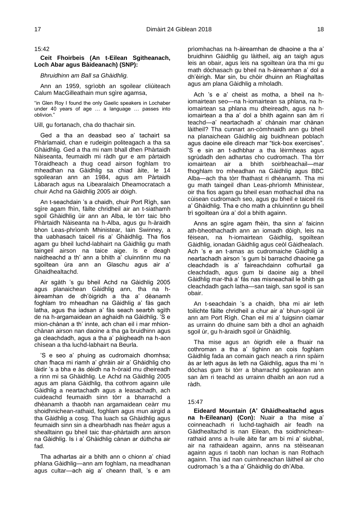## 15:42

# <span id="page-12-0"></span>**Ceit Fhoirbeis (An t-Eilean Sgitheanach, Loch Abar agus Bàideanach) (SNP):**

# *Bhruidhinn am Ball sa Ghàidhlig.*

Ann an 1959, sgrìobh an sgoilear cliùiteach Calum MacGilleathain mun sgìre agamsa.

"in Glen Roy I found the only Gaelic speakers in Lochaber under 40 years of age … a language … passes into oblivion."

Uill, gu fortanach, cha do thachair sin.

Ged a tha an deasbad seo a' tachairt sa Phàrlamaid, chan e rudeigin politeagach a tha sa Ghàidhlig. Ged a tha mi nam bhall dhen Phàrtaidh Nàiseanta, feumaidh mi ràdh gur e am pàrtaidh Tòraidheach a thug cead airson foghlam tro mheadhan na Gàidhlig sa chiad àite, le 14 sgoilearan ann an 1984, agus am Pàrtaidh Làbarach agus na Libearalaich Dheamocratach a chuir Achd na Gàidhlig 2005 air dòigh.

An t-seachdain 's a chaidh, chuir Port Rìgh, san sgìre agam fhìn, fàilte chridheil air an t-siathamh sgoil Ghàidhlig ùir ann an Alba, le tòrr taic bho Phàrtaidh Nàiseanta na h-Alba, agus gu h-àraidh bhon Leas-phrìomh Mhinistear, Iain Swinney, a tha uabhasach taiceil ris a' Ghàidhlig. Tha fios agam gu bheil luchd-labhairt na Gàidhlig gu math taingeil airson na taice aige. Is e deagh naidheachd a th' ann a bhith a' cluinntinn mu na sgoiltean ùra ann an Glaschu agus air a' Ghaidhealtachd.

Air sgàth 's gu bheil Achd na Gàidhlig 2005 agus planaichean Gàidhlig ann, tha na hàireamhan de dh'òigridh a tha a' dèanamh foghlam tro mheadhan na Gàidhlig a' fàs gach latha, agus tha iadsan a' fàs seach searbh sgìth de na h-argamaidean an aghaidh na Gàidhlig. 'S e mion-chànan a th' innte, ach chan eil i mar mhionchànan airson nan daoine a tha ga bruidhinn agus ga cleachdadh, agus a tha a' pàigheadh na h-aon chìsean a tha luchd-labhairt na Beurla.

'S e seo a' phuing as cudromaich dhomhsa; chan fhaca mi riamh a' ghràin air a' Ghàidhlig cho làidir 's a bha e às dèidh na h-òraid mu dheireadh a rinn mi sa Ghàidhlig. Le Achd na Gàidhlig 2005 agus am plana Gàidhlig, tha cothrom againn uile Gàidhlig a neartachadh agus a leasachadh, ach cuideachd feumaidh sinn tòrr a bharrachd a dhèanamh a thaobh nan argamaidean ceàrr mu shoidhnichean-rathaid, foghlam agus mun airgid a tha Gàidhlig a cosg. Tha luach sa Ghàidhlig agus feumaidh sinn sin a dhearbhadh nas fheàrr agus a shealltainn gu bheil taic thar-phàrtaidh ann airson na Gàidhlig. Is i a' Ghàidhlig cànan ar dùthcha air fad.

Tha adhartas air a bhith ann o chionn a' chiad phlana Gàidhlig—ann am foghlam, na meadhanan agus cultar—ach aig a' cheann thall, 's e am

prìomhachas na h-àireamhan de dhaoine a tha a' bruidhinn Gàidhlig gu làitheil, aig an taigh agus leis an obair, agus leis na sgoiltean ùra tha mi gu math dòchasach gu bheil na h-àireamhan a' dol a dh'èirigh. Mar sin, bu chòir dhuinn an Riaghaltas agus am plana Gàidhlig a mholadh.

Ach 's e a' cheist as motha, a bheil na hiomairtean seo—na h-iomairtean sa phlana, na hiomairtean sa phlana mu dheireadh, agus na hiomairtean a tha a' dol a bhith againn san àm ri teachd—a' neartachadh a' chànain mar chànan làitheil? Tha cunnart an-còmhnaidh ann gu bheil na planaichean Gàidhlig aig buidhnean poblach agus daoine eile dìreach mar "tick-box exercises". 'S e sin an t-adhbhar a tha lèirmheas agus sgrùdadh den adhartas cho cudromach. Tha tòrr iomairtean air a bhith soirbheachail—mar fhoghlam tro mheadhan na Gàidhlig agus BBC Alba—ach tha tòrr fhathast ri dhèanamh. Tha mi gu math taingeil dhan Leas-phrìomh Mhinistear, oir tha fios agam gu bheil esan mothachail dha na cùisean cudromach seo, agus gu bheil e taiceil ris a' Ghàidhlig. Tha e cho math a chluinntinn gu bheil trì sgoiltean ùra a' dol a bhith againn.

Anns an sgìre agam fhèin, tha sinn a' faicinn ath-bheothachadh ann an iomadh dòigh, leis na fèisean, na h-iomairtean Gàidhlig, sgoiltean Gàidhlig, ionadan Gàidhlig agus ceòl Gàidhealach. Ach 's e an t-amas as cudromaiche Gàidhlig a neartachadh airson 's gum bi barrachd dhaoine ga cleachdadh is a' faireachdainn cofhurtail ga cleachdadh, agus gum bi daoine aig a bheil Gàidhlig mar-thà a' fàs nas misneachail le bhith ga cleachdadh gach latha—san taigh, san sgoil is san obair.

An t-seachdain 's a chaidh, bha mi air leth toilichte fàilte chridheil a chur air a' bhun-sgoil ùir ann am Port Rìgh. Chan eil mi a' tuigsinn ciamar as urrainn do dhuine sam bith a dhol an aghaidh sgoil ùr, gu h-àraidh sgoil ùr Ghàidhlig.

Tha mise agus an òigridh eile a fhuair na cothroman a tha a' tighinn an cois foghlam Gàidhlig fada an comain gach neach a rinn spàirn às ar leth agus às leth na Gàidhlig, agus tha mi 'n dòchas gum bi tòrr a bharrachd sgoilearan ann san àm ri teachd as urrainn dhaibh an aon rud a ràdh.

#### 15:47

<span id="page-12-1"></span>**Eideard Mountain (A' Ghàidhealtachd agus na h-Eileanan) (Con):** Nuair a tha mise a' coinneachadh ri luchd-taghaidh air feadh na Gàidhealtachd is nan Eilean, tha soidhnicheanrathaid anns a h-uile àite far am bi mi a' siubhal, air na rathaidean againn, anns na stèiseanan againn agus ri taobh nan lochan is nan Rothach againn. Tha iad nan cuimhneachan làitheil air cho cudromach 's a tha a' Ghàidhlig do dh'Alba.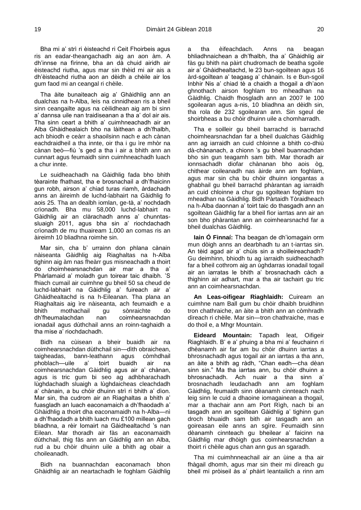Bha mi a' strì ri èisteachd ri Ceit Fhoirbeis agus ris an eadar-theangachadh aig an aon àm. A dh'innse na fìrinne, bha an dà chuid airidh air èisteachd riutha, agus mar sin thèid mi air ais a dh'èisteachd riutha aon an dèidh a chèile air los gum faod mi an ceangal ri chèile.

Tha àite bunaiteach aig a' Ghàidhlig ann an dualchas na h-Alba, leis na cinnidhean ris a bheil sinn ceangailte agus na cèilidhean aig am bi sinn a' dannsa uile nan traidiseanan a tha a' dol air ais. Tha sinn ceart a bhith a' cuimhneachadh air an Alba Ghàidhealaich bho na làithean a dh'fhalbh, ach bhiodh e ceàrr a shaoilsinn nach e ach cànan eachdraidheil a tha innte, oir tha i gu ìre mhòr na cànan beò—fiù 's ged a tha i air a bhith ann an cunnart agus feumaidh sinn cuimhneachadh luach a chur innte.

Le suidheachadh na Gàidhlig fada bho bhith tèarainte fhathast, tha e brosnachail a dh'fhaicinn gun robh, airson a' chiad turas riamh, àrdachadh anns an àireimh de luchd-labhairt na Gàidhlig fo aois 25. Tha an dealbh iomlan, ge-tà, a' nochdadh crìonadh. Bha mu 58,000 luchd-labhairt na Gàidhlig air an clàrachadh anns a' chunntassluaigh 2011, agus bha sin a' riochdachadh crìonadh de mu thuaiream 1,000 an comas ris an àireimh 10 bliadhna roimhe sin.

Mar sin, cha b' urrainn don phlana cànain nàiseanta Gàidhlig aig Riaghaltas na h-Alba tighinn aig àm nas fheàrr gus misneachadh a thoirt do choimhearsnachdan air mar a tha a' Phàrlamaid a' moladh gun toirear taic dhaibh. 'S fhiach cumail air cuimhne gu bheil 50 sa cheud de luchd-labhairt na Gàidhlig a' fuireach air a' Ghàidhealtachd is na h-Eileanan. Tha plana an Riaghaltais aig ìre nàiseanta, ach feumaidh e a bhith mothachail gu sònraichte do dh'fheumalachdan nan coimhearsnachdan ionadail agus dùthchail anns an roinn-taghaidh a tha mise a' riochdachadh.

Bidh na cùisean a bheir buaidh air na coimhearsnachdan dùthchail sin—dìth obraichean, taigheadas, bann-leathann agus còmhdhail phoblach—uile a' toirt buaidh air na coimhearsnachdan Gàidhlig agus air a' chànan, agus is tric gum bi seo ag adhbharachadh lùghdachadh sluaigh a lùghdaicheas cleachdadh a' chànain, a bu chòir dhuinn strì ri bhith a' dìon. Mar sin, tha cudrom air an Riaghaltas a bhith a' fuasgladh an luach eaconamaich a dh'fhaodadh a' Ghàidhlig a thoirt dha eaconamaidh na h-Alba—nì a dh'fhaodadh a bhith luach mu £100 millean gach bliadhna, a rèir Iomairt na Gàidhealtachd 's nan Eilean. Mar thoradh air fàs an eaconamaidh dùthchail, thig fàs ann an Gàidhlig ann an Alba, rud a bu chòir dhuinn uile a bhith ag obair a choileanadh.

Bidh na buannachdan eaconamach bhon Ghàidhlig air an neartachadh le foghlam Gàidhlig a tha èifeachdach. Anns na beagan bhliadhnaichean a dh'fhalbh, tha a' Ghàidhlig air fàs gu bhith na pàirt chudromach de beatha sgoile air a' Ghàidhealtachd, le 23 bun-sgoiltean agus 16 àrd-sgoiltean a' teagasg a' chànain. Is e Bun-sgoil Inbhir Nis a' chiad tè a chaidh a thogail a dh'aon ghnothach airson foghlam tro mheadhan na Gàidhlig. Chaidh fhosgladh ann an 2007 le 100 sgoilearan agus a-nis, 10 bliadhna an dèidh sin, tha rola de 232 sgoilearan ann. Sin sgeul de shoirbheas a bu chòir dhuinn uile a chomharradh.

Tha e soilleir gu bheil barrachd is barrachd choimhearsnachdan far a bheil dualchas Gàidhlig ann ag iarraidh an cuid chloinne a bhith co-dhiù dà-chànanach, a chionn 's gu bheil buannachdan bho sin gun teagamh sam bith. Mar thoradh air ionnsachadh diofar chànanan bho aois òg, chithear coileanadh nas àirde ann am foghlam, agus mar sin cha bu chòir dhuinn iongantas a ghabhail gu bheil barrachd phàrantan ag iarraidh an cuid chloinne a chur gu sgoiltean foghlam tro mheadhan na Gàidhlig. Bidh Pàrtaidh Tòraidheach na h-Alba daonnan a' toirt taic do thasgadh ann an sgoiltean Gàidhlig far a bheil fìor iarrtas ann air an son bho phàrantan ann an coimhearsnachd far a bheil dualchas Gàidhlig.

**Iain Ó Finnaí:** Tha beagan de dh'iomagain orm mun dòigh anns an dearbhadh tu an t-iarrtas sin. An tèid agad air a' chùis sin a shoilleireachadh? Gu deimhinn, bhiodh tu ag iarraidh suidheachadh far a bheil cothrom aig an ùghdarras ionadail togail air an iarratas le bhith a' brosnachadh càch a thighinn air adhart, mar a tha air tachairt gu tric ann an coimhearsnachdan.

**An Leas-oifigear Riaghlaidh:** Cuiream an cuimhne nam Ball gum bu chòir dhaibh bruidhinn tron chathraiche, an àite a bhith ann an còmhradh dìreach ri chèile. Mar sin—tron chathraiche, mas e do thoil e, a Mhgr Mountain.

**Eideard Mountain:** Tapadh leat, Oifigeir Riaghlaidh. B' e a' phuing a bha mi a' feuchainn ri dhèanamh air far am bu chòir dhuinn iarrtas a bhrosnachadh agus togail air an iarrtas a tha ann, an àite a bhith ag ràdh, "Chan eadh—cha dèan sinn sin." Ma tha iarrtas ann, bu chòir dhuinn a bhrosnachadh. Ach nuair a tha sinn a' brosnachadh leudachadh ann am foghlam Gàidhlig, feumaidh sinn dèanamh cinnteach nach leig sinn le cuid a dhaoine iomagainean a thogail, mar a thachair ann am Port Rìgh, nach bi an tasgadh ann an sgoiltean Gàidhlig a' tighinn gun droch bhuaidh sam bith air tasgadh ann an goireasan eile anns an sgìre. Feumaidh sinn dèanamh cinnteach gu bheilear a' faicinn na Gàidhlig mar dhòigh gus coimhearsnachdan a thoirt ri chèile agus chan ann gus an sgaradh.

Tha mi cuimhnneachail air an ùine a tha air fhàgail dhomh, agus mar sin their mi dìreach gu bheil mi pròiseil às a' phàirt leantailich a rinn am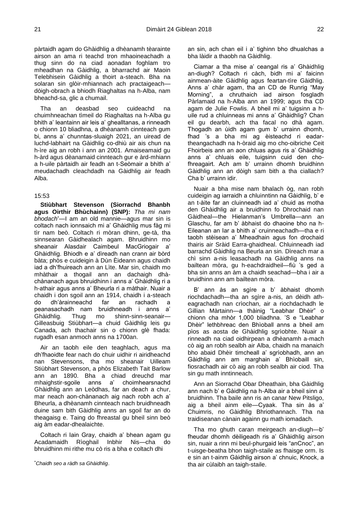pàrtaidh agam do Ghàidhlig a dhèanamh tèarainte airson an ama ri teachd tron mhaoineachadh a thug sinn do na ciad aonadan foghlam tro mheadhan na Gàidhlig, a bharrachd air Maoin Telebhisein Gàidhlig a thoirt a-steach. Bha na solaran sin glòir-mhiannach ach practaigeach dòigh-obrach a bhiodh Riaghaltas na h-Alba, nam bheachd-sa, glic a chumail.

Tha an deasbad seo cuideachd na chuimhneachan tìmeil do Riaghaltas na h-Alba gu bhith a' leantainn air leis a' ghealltanas, a rinneadh o chionn 10 bliadhna, a dhèanamh cinnteach gum bi, anns a' chunntas-sluaigh 2021, an uiread de luchd-labhairt na Gàidhlig co-dhiù air ais chun na h-ìre aig an robh i ann an 2001. Amaiseamaid gu h-àrd agus dèanamaid cinnteach gur e àrd-mhiann a h-uile pàrtaidh air feadh an t-Seòmair a bhith a' meudachadh cleachdadh na Gàidhlig air feadh Alba.

# 15:53

<span id="page-14-0"></span>**Stiùbhart Stevenson (Siorrachd Bhanbh agus Oirthir Bhùchainn) (SNP):** *Tha mi nam bhodach*\*—I am an old mannie—agus mar sin is coltach nach ionnsaich mi a' Ghàidhlig mus fàg mi tìr nam beò. Coltach ri mòran dhinn, ge-tà, tha sinnsearan Gàidhealach agam. Bhruidhinn mo sheanair Alasdair Caimbeul MacGriogair a' Ghàidhlig. Bhiodh e a' dìreadh nan crann air bòrd bàta; phòs e cuideigin à Dùn Èideann agus chaidh iad a dh'fhuireach ann an Lìte. Mar sin, chaidh mo mhàthair a thogail ann an dachaigh dhàchànanach agus bhruidhinn i anns a' Ghàidhlig ri a h-athair agus anns a' Bheurla ri a màthair. Nuair a chaidh i don sgoil ann an 1914, chaidh i a-steach do dh'àrainneachd far an rachadh a peanasachadh nam bruidhneadh i anns a' Ghàidhlig. Thug mo shinn-sinn-seanair— Gilleasbuig Stiùbhart—a chuid Gàidhlig leis gu Canada, ach thachair sin o chionn glè fhada: rugadh esan anmoch anns na 1700an.

Air an taobh eile den teaghlach, agus ma dh'fhaoidte fear nach do chuir uidhir ri airidheachd nan Stevensons, tha mo sheanair Uilleam Stiùbhart Stevenson, a phòs Elizabeth Tait Barlow ann an 1890. Bha a chiad dreuchd mar mhaighstir-sgoile anns a' choimhearsnachd Ghàidhlig ann an Leòdhas, far an deach a chur, mar neach aon-chànanach aig nach robh ach a' Bheurla, a dhèanamh cinnteach nach bruidhneadh duine sam bith Gàidhlig anns an sgoil far an do theagaisg e. Taing do fhreastal gu bheil sinn beò aig àm eadar-dhealaichte.

Coltach ri Iain Gray, chaidh a' bhean agam gu Acadamaidh Rìoghail Inbhir Nis—cha do bhruidhinn mi rithe mu cò ris a bha e coltach dhi

an sin, ach chan eil i a' tighinn bho dhualchas a bha làidir a thaobh na Gàidhlig.

Ciamar a tha mise a' ceangal ris a' Ghàidhlig an-diugh? Coltach ri càch, bidh mi a' faicinn ainmean-àite Gàidhlig agus feartan-tìre Gàidhlig. Anns a' chàr agam, tha an CD de Runrig "May Morning", a chruthaich iad airson fosgladh Pàrlamaid na h-Alba ann an 1999; agus tha CD agam de Julie Fowlis. A bheil mi a' tuigsinn a huile rud a chluinneas mi anns a' Ghàidhlig? Chan eil gu dearbh, ach tha facal no dhà agam. Thogadh an ùidh agam gum b' urrainn dhomh, fhad 's a bha mi ag èisteachd ri eadartheangachadh na h-òraid aig mo cho-oibriche Ceit Fhoirbeis ann an aon chluas agus ris a' Ghàidhlig anns a' chluais eile, tuigsinn cuid den chofhreagairt. Ach am b' urrainn dhomh bruidhinn Gàidhlig ann an dòigh sam bith a tha ciallach? Cha b' urrainn idir.

Nuair a bha mise nam bhalach òg, nan robh cuideigin ag iarraidh a chluinntinn na Gàidhlig, b' e an t-àite far an cluinneadh iad a' chuid as motha den Ghàidhlig air a bruidhinn fo Dhrochaid nan Gàidheal—the Hielanman's Umbrella—ann an Glaschu, far am b' àbhaist do dhaoine bho na h-Eileanan an Iar a bhith a' cruinneachadh—tha e ri taobh stèisean a' Mheadhain agus fon drochaid thairis air Sràid Earra-ghaidheal. Chluinneadh iad barrachd Gàidhlig na Beurla an sin. Dìreach mar a chì sinn a-nis leasachadh na Gàidhlig anns na bailtean mòra, gu h-eachdraidheil—fiù 's ged a bha sin anns an àm a chaidh seachad—bha i air a bruidhinn ann am bailtean mòra.

B' ann às an sgìre a b' àbhaist dhomh riochdachadh—tha an sgìre a-nis, an dèidh atheagrachadh nan crìochan, air a riochdachadh le Gillian Màrtainn—a thàinig "Leabhar Dhèir" o chionn cha mhòr 1,000 bliadhna. 'S e "Leabhar Dhèir" lethbhreac den Bhìoball anns a bheil am pìos as aosta de Ghàidhlig sgrìobhte. Nuair a rinneadh na ciad oidhirpean a dhèanamh a-mach cò aig an robh sealbh air Alba, chaidh na manaich bho abaid Dhèir timcheall a' sgrìobhadh, ann an Gàidhlig ann am marghain a' Bhìobaill sin, fiosrachadh air cò aig an robh sealbh air ciod. Tha sin gu math inntinneach.

Ann an Siorrachd Obar Dheathain, bha Gàidhlig ann nach b' e Gàidhlig na h-Alba air a bheil sinn a' bruidhinn. Tha baile ann ris an canar New Pitsligo, aig a bheil ainm eile—Cyaak. Tha sin às a' Chuimris, no Gàidhlig Bhriothannach. Tha na traidiseanan cànain againn gu math iomadach.

Tha mo ghuth caran meirgeach an-diugh—b' fheudar dhomh dèiligeadh ris a' Ghàidhlig airson sin, nuair a rinn mi beul-phurgaid leis "anCnoc", an t-uisge-beatha bhon taigh-staile as fhaisge orm. Is e sin an t-ainm Gàidhlig airson a' chnuic, Knock, a tha air cùlaibh an taigh-staile.

<sup>\*</sup>*Chaidh seo a ràdh sa Ghàidhlig*.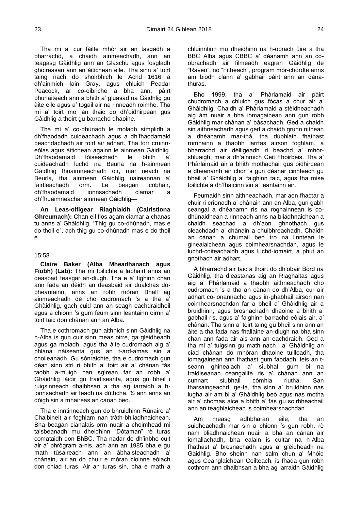Tha mi a' cur fàilte mhòr air an tasgadh a bharrachd, a chaidh ainmeachadh, ann an teagasg Gàidhlig ann an Glaschu agus fosgladh ghoireasan ann an àitichean eile. Tha sinn a' toirt taing nach do shoirbhich le Achd 1616 a dh'ainmich Iain Gray, agus chluich Peadar Peacock, ar co-oibriche a bha ann, pàirt bhunaiteach ann a bhith a' gluasad na Gàidhlig gu àite eile agus a' togail air na rinneadh roimhe. Tha mi a' toirt mo làn thaic do dh'oidhirpean gus Gàidhlig a thoirt gu barrachd dhaoine.

Tha mi a' co-dhùnadh le moladh sìmplidh a dh'fhaodadh cuideachadh agus a dh'fhaodamaid beachdachadh air toirt air adhart. Tha tòrr cruinneòlas agus àitichean againn le ainmean Gàidhlig.<br>Dh'fhaodamaid tòiseachadh le bhith a' Dh'fhaodamaid tòiseachadh le bhith a' cuideachadh luchd na Beurla na h-ainmean Gàidhlig fhuaimneachadh oir, mar neach na Beurla, tha ainmean Gàidhlig uaireannan a' fairtleachadh orm. Le beagan cobhair, dh'fhaodamaid ionnsachadh ciamar a dh'fhuaimneachar ainmean Gàidhlig—

**An Leas-oifigear Riaghlaidh (Cairistìona Ghreumach):** Chan eil fios agam ciamar a chanas tu anns a' Ghàidhlig, "Thig gu co-dhùnadh, mas e do thoil e", ach thig gu co-dhùnadh mas e do thoil e.

# 15:58

<span id="page-15-0"></span>**Claire Baker (Alba Mheadhanach agus Fìobh) (Lab):** Tha mi toilichte a labhairt anns an deasbad feasgar an-diugh. Tha e a' tighinn chan ann fada an dèidh an deasbaid air dualchas dobheantainn, anns an robh mòran Bhall ag ainmeachadh dè cho cudromach 's a tha a' Ghàidhlig, gach cuid ann an seagh eachdraidheil agus a chionn 's gum feum sinn leantainn oirnn a' toirt taic don chànan ann an Alba.

Tha e cothromach gun aithnich sinn Gàidhlig na h-Alba is gun cuir sinn meas oirre, ga glèidheadh agus ga moladh, agus tha àite cudromach aig a' phlana nàiseanta gus an t-àrd-amas sin a choileanadh. Gu sònraichte, tha e cudromach gun dèan sinn strì ri bhith a' toirt air a' chànan fàs taobh a-muigh nan sgìrean far an robh a' Ghàidhlig làidir gu traidiseanta, agus gu bheil i ruigsinneach dhaibhsan a tha ag iarraidh a hionnsachadh air feadh na dùthcha. 'S ann anns an dòigh sin a mhaireas an cànan beò.

Tha e inntinneach gun do bhruidhinn Rùnaire a' Chaibineit air foghlam nan tràth-bhliadhnaichean. Bha beagan cianalais orm nuair a choimhead mi taisbeanadh mu dheidhinn "Dòtaman" rè turas comataidh don BhBC. Tha nadar de dh'inbhe cult air a' phrògram a-nis, ach ann an 1985 bha e gu math tùsaireach ann an àbhaisteachadh a' chànain, air an do chuir e mòran cloinne eòlach don chiad turas. Air an turas sin, bha e math a chluinntinn mu dheidhinn na h-obrach ùire a tha BBC Alba agus CBBC a' dèanamh ann an coobrachadh air filmeadh eagran Gàidhlig de "Raven", no "Fitheach", prògram mòr-chòrdte anns am biodh clann a' gabhail pàirt ann an dànathuras.

Bho 1999, tha a' Phàrlamaid air pàirt chudromach a chluich gus fòcas a chur air a' Ghàidhlig. Chaidh a' Phàrlamaid a stèidheachadh aig àm nuair a bha iomagainean ann gun robh Gàidhlig mar chànan a' bàsachadh. Ged a chaidh sin aithneachadh agus ged a chaidh grunn nithean a dhèanamh mar-thà, tha dùbhlain fhathast romhainn a thaobh iarrtas airson foghlam, a bharrachd air dèiligeadh ri beachd a' mhòrshluaigh, mar a dh'ainmich Ceit Fhoirbeis. Tha a' Phàrlamaid air a bhith mothachail gus oidhirpean a dhèanamh air chor 's gun dèanar cinnteach gu bheil a' Ghàidhlig a' faighinn taic, agus tha mise toilichte a dh'fhaicinn sin a' leantainn air.

Feumaidh sinn aithneachadh, mar aon fhactar a chuir ri crìonadh a' chànain ann an Alba, gun gabh ceangal a dhèanamh ris na roghainnean is codhùnaidhean a rinneadh anns na bliadhnaichean a chaidh seachad a dh'aon ghnothach gus cleachdadh a' chànain a chuibhreachadh. Chaidh an cànan a chumail beò tro na linntean le ginealaichean agus coimhearsnachdan, agus le luchd-coiteachaidh agus luchd-iomairt, a phut an gnothach air adhart.

A bharrachd air taic a thoirt do dh'obair Bòrd na Gàidhlig, tha dleastanas aig an Riaghaltas agus aig a' Phàrlamaid a thaobh aithneachadh cho cudromach 's a tha an cànan do dh'Alba, cur air adhart co-ionannachd agus in-ghabhail airson nan coimhearsnachdan far a bheil a' Ghàidhlig air a bruidhinn, agus brosnachadh dhaoine a bhith a' gabhail ris, agus a' faighinn barrachd eòlais air, a' chànan. Tha sinn a' toirt taing gu bheil sinn ann an àite a tha fada nas fhallaine an-diugh na bha sinn chan ann fada air ais ann an eachdraidh. Ged a tha mi a' tuigsinn gu math nach i a' Ghàidhlig an ciad chànan do mhòran dhaoine tuilleadh, tha iomagainean ann fhathast gum faodadh, leis an tseann ghinealach a' siubhal, gum bi na traidiseanan ceangailte ris a' chànan ann an cunnart siubhail còmhla riutha. San fharsaingeachd, ge-tà, tha sinn a' bruidhinn nas lugha air am bi a' Ghàidhlig beò agus nas motha air a' chomas aice a bhith a' fàs gu soirbheachail ann an teaghlaichean is coimhearsnachdan.

Am measg adhbharan eile, tha an suidheachadh mar sin a chionn 's gun robh, rè nam bliadhnaichean nuair a bha an cànan air iomallachadh, bha ealain is cultar na h-Alba fhathast a' brosnachadh agus a' glèidheadh na Gàidhlig. Bho sheinn nan salm chun a' Mhòid agus Ceanglaichean Ceilteach, is fhada gun robh cothrom ann dhaibhsan a bha ag iarraidh Gàidhlig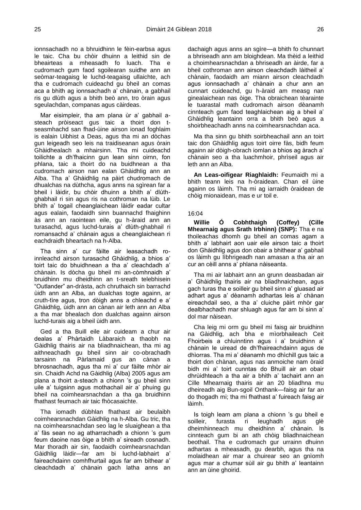ionnsachadh no a bhruidhinn le fèin-earbsa agus le taic. Cha bu chòir dhuinn a leithid sin de bheairteas a mheasadh fo luach. Tha e cudromach gum faod sgoilearan suidhe ann an seòmar-teagaisg le luchd-teagaisg ullaichte, ach tha e cudromach cuideachd gu bheil an comas aca a bhith ag ionnsachadh a' chànain, a gabhail ris gu dlùth agus a bhith beò ann, tro òrain agus sgeulachdan, companas agus càirdeas.

Mar eisimpleir, tha am plana ùr a' gabhail asteach pròiseact gus taic a thoirt don tseasmhachd san fhad-ùine airson ionad foghlaim is ealain Uibhist a Deas, agus tha mi an dòchas gun leigeadh seo leis na traidiseanan agus òrain Ghàidhealach a mhairsinn. Tha mi cuideachd toilichte a dh'fhaicinn gun lean sinn oirnn, fon phlana, taic a thoirt do na buidhnean a tha cudromach airson nan ealan Ghàidhlig ann an Alba. Tha a' Ghàidhlig na pàirt chudromach de dhualchas na dùthcha, agus anns na sgìrean far a bheil i làidir, bu chòir dhuinn a bhith a' dlùthghabhail ri sin agus ris na cothroman na lùib. Le bhith a' togail cheanglaichean làidir eadar cultar agus ealain, faodaidh sinn buannachd fhaighinn às ann an raointean eile, gu h-àraid ann an turasachd, agus luchd-turais a' dlùth-ghabhail ri romansachd a' chànain agus a cheanglaichean ri eachdraidh bheartach na h-Alba.

Tha sinn a' cur fàilte air leasachadh roinnleachd airson turasachd Ghàidhlig, a bhios a' toirt taic do bhuidhnean a tha a' cleachdadh a' chànain. Is dòcha gu bheil mi an-còmhnaidh a' bruidhinn mu dheidhinn an t-sreath telebhisein "Outlander" an-dràsta, ach chruthaich sin barrachd ùidh ann an Alba, an dualchas togte againn, ar cruth-tìre agus, tron dòigh anns a chleachd e a' Ghàidhlig, ùidh ann an cànan air leth ann an Alba a tha mar bhealach don dualchas againn airson luchd-turais aig a bheil ùidh ann.

Ged a tha Buill eile air cuideam a chur air dealas a' Phàrtaidh Làbaraich a thaobh na Gàidhlig thairis air na bliadhnaichean, tha mi ag aithneachadh gu bheil sinn air co-obrachadh tarsainn na Pàrlamaid gus an cànan a bhrosnachadh, agus tha mi a' cur fàilte mhòr air sin. Chaidh Achd na Gàidhlig (Alba) 2005 agus am plana a thoirt a-steach a chionn 's gu bheil sinn uile a' tuigsinn agus mothachail air a' phuing gu bheil na coimhearsnachdan a tha ga bruidhinn fhathast feumach air taic fhòcasaichte.

Tha iomadh dùbhlan fhathast air beulaibh coimhearsnachdan Gàidhlig na h-Alba. Gu tric, tha na coimhearsnachdan seo lag le sluaighean a tha a' fàs sean no ag atharrachadh a chionn 's gum feum daoine nas òige a bhith a' sireadh cosnadh. Mar thoradh air sin, faodaidh coimhearsnachdan Gàidhlig làidir—far am bi luchd-labhairt a' faireachdainn comhfhurtail agus far am bithear a' cleachdadh a' chànain gach latha anns an dachaigh agus anns an sgìre—a bhith fo chunnart a bhriseadh ann am bloighdean. Ma thèid a leithid a choimhearsnachdan a bhriseadh an àirde, far a bheil cothroman ann airson cleachdadh làitheil a' chànain, faodaidh am miann airson cleachdadh agus ionnsachadh a' chànain a chur ann an cunnart cuideachd, gu h-àraid am measg nan ginealaichean nas òige. Tha obraichean tèarainte le tuarastal math cudromach airson dèanamh cinnteach gum faod teaghlaichean aig a bheil a' Ghàidhlig leantainn orra a bhith beò agus a shoirbheachadh anns na coimhearsnachdan aca.

Ma tha sinn gu bhith soirbheachail ann an toirt taic don Ghàidhlig agus toirt oirre fàs, bidh feum againn air dòigh-obrach iomlan a bhios ag àrach a' chànain seo a tha luachmhoir, phrìseil agus air leth ann an Alba.

**An Leas-oifigear Riaghlaidh:** Feumaidh mi a bhith teann leis na h-òraidean. Chan eil ùine againn os làimh. Tha mi ag iarraidh òraidean de chòig mionaidean, mas e ur toil e.

# 16:04

<span id="page-16-0"></span>**Willie Ó Cobhthaigh (Coffey) (Cille Mhearnaig agus Srath Irbhinn) (SNP):** Tha e na thoileachas dhomh gu bheil an comas agam a bhith a' labhairt aon uair eile airson taic a thoirt don Ghàidhlig agus don obair a bhithear a' gabhail os làimh gu lìbhrigeadh nan amasan a tha air an cur an cèill anns a' phlana nàiseanta.

Tha mi air labhairt ann an grunn deasbadan air a' Ghàidhlig thairis air na bliadhnaichean, agus gach turas tha e soilleir gu bheil sinn a' gluasad air adhart agus a' dèanamh adhartas leis a' chànan eireachdail seo, a tha a' cluiche pàirt mhòr gar dealbhachadh mar shluagh agus far am bi sinn a' dol mar nàisean.

Cha leig mi orm gu bheil mi faisg air bruidhinn na Gàidhlig, ach bha e mìorbhaileach Ceit Fhoirbeis a chluinntinn agus i a' bruidhinn a' chànain le uiread de dh'fhaireachdainn agus de dhìorras. Tha mi a' dèanamh mo dhìchill gus taic a thoirt don chànan, agus nas anmoiche nam òraid bidh mi a' toirt cunntas do Bhuill air an obair dhrùidhteach a tha air a bhith a' tachairt ann an Cille Mhearnaig thairis air an 20 bliadhna mu dheireadh aig Bun-sgoil Onthank—faisg air far an do thogadh mi; tha mi fhathast a' fuireach faisg air làimh.

Is toigh leam am plana a chionn 's gu bheil e soilleir, furasta ri leughadh agus glè dheimhinneach mu dheidhinn a' chànain. Is cinnteach gum bi an ath chòig bliadhnaichean beothail. Tha e cudromach gur urrainn dhuinn adhartas a mheasadh, gu dearbh, agus tha na molaidhean air mar a chuirear seo an gnìomh agus mar a chumar sùil air gu bhith a' leantainn ann an ùine ghoirid.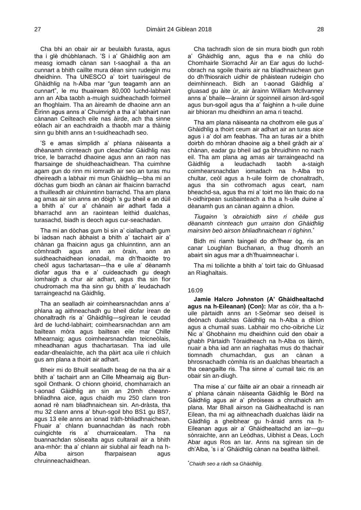Cha bhi an obair air ar beulaibh furasta, agus tha i glè dhùbhlanach. 'S i a' Ghàidhlig aon am measg iomadh cànan san t-saoghail a tha an cunnart a bhith caillte mura dèan sinn rudeigin mu dheidhinn. Tha UNESCO a' toirt tuairisgeul de Ghàidhlig na h-Alba mar "gun teagamh ann an cunnart", le mu thuaiream 80,000 luchd-labhairt ann an Alba taobh a-muigh suidheachadh foirmeil an fhoghlaim. Tha an àireamh de dhaoine ann an Èirinn agus anns a' Chuimrigh a tha a' labhairt nan cànanan Ceilteach eile nas àirde, ach tha sinne eòlach air an eachdraidh a thaobh mar a thàinig sinn gu bhith anns an t-suidheachadh seo.

'S e amas sìmplidh a' phlana nàiseanta a dhèanamh cinnteach gun cleachdar Gàidhlig nas trice, le barrachd dhaoine agus ann an raon nas fharsainge de shuidheachaidhean. Tha cuimhne agam gun do rinn mi iomradh air seo an turas mu dheireadh a labhair mi mun Ghàidhlig—bha mi an dòchas gum biodh an cànan air fhaicinn barrachd a thuilleadh air chluinntinn barrachd. Tha am plana ag amas air sin anns an dòigh 's gu bheil e an dùil a bhith a' cur a' chànain air adhart fada a bharrachd ann an raointean leithid dualchas, turasachd, biadh is deoch agus cur-seachadan.

Tha mi an dòchas gum bi sin a' ciallachadh gum bi iadsan nach àbhaist a bhith a' tachairt air a' chànan ga fhaicinn agus ga chluinntinn, ann an còmhradh agus ann an òrain, ann an suidheachaidhean ionadail, ma dh'fhaoidte tro cheòl agus tachartasan—tha e uile a' dèanamh diofar agus tha e a' cuideachadh gu deagh ìomhaigh a chur air adhart, agus tha sin fìor chudromach ma tha sinn gu bhith a' leudachadh tarraingeachd na Gàidhlig.

Tha an sealladh air coimhearsnachdan anns a' phlana ag aithneachadh gu bheil diofar ìrean de chonaltradh ris a' Ghàidhlig—sgìrean le ceudad àrd de luchd-labhairt; coimhearsnachdan ann am bailtean mòra agus bailtean eile mar Chille Mhearnaig; agus coimhearsnachdan teicneòlais, mheadhanan agus thachartasan. Tha iad uile eadar-dhealaichte, ach tha pàirt aca uile ri chluich gus am plana a thoirt air adhart.

Bheir mi do Bhuill sealladh beag de na tha air a bhith a' tachairt ann an Cille Mhearnaig aig Bunsgoil Onthank. O chionn ghoirid, chomharraich an t-aonad Gàidhlig an sin an 20mh cheannbhliadhna aice, agus chaidh mu 250 clann tron aonad rè nam bliadhnaichean sin. An-dràsta, tha mu 32 clann anns a' bhun-sgoil bho BS1 gu BS7, agus 13 eile anns an ionad tràth-bhliadhnaichean. Fhuair a' chlann buannachdan às nach robh cuingichte ris a' churraicealam. Tha na buannachdan sòisealta agus cultarail air a bhith ana-mhòr: tha a' chlann air siubhal air feadh na h-Alba airson fharpaisean agus chruinneachaidhean.

Cha tachradh sìon de sin mura biodh gun robh a' Ghàidhlig ann, agus tha e na chliù do Chomhairle Siorrachd Àir an Ear agus do luchdobrach na sgoile thairis air na bliadhnaichean gun do dh'fhiosraich uidhir de phàistean rudeigin cho deimhinneach. Bidh an t-aonad Gàidhlig a' gluasad gu àite ùr, air àrainn William McIlvanney anns a' bhaile—àrainn ùr sgoinneil airson àrd-sgoil agus bun-sgoil agus tha a' faighinn a h-uile duine air bhioran mu dheidhinn an ama ri teachd.

Tha am plana nàiseanta na chothrom eile gus a' Ghàidhlig a thoirt ceum air adhart air an turas aice agus i a' dol am feabhas. Tha an turas air a bhith doirbh do mhòran dhaoine aig a bheil gràdh air a' chànan, eadar gu bheil iad ga bhruidhinn no nach eil. Tha am plana ag amas air tarraingeachd na Gàidhlig a leudachadh taobh a-staigh coimhearsnachdan iomadach na h-Alba tro chultar, ceòl agus a h-uile foirm de chonaltradh, agus tha sin cothromach agus ceart, nam bheachd-sa, agus tha mi a' toirt mo làn thaic do na h-oidhirpean susbainteach a tha a h-uile duine a' dèanamh gus an cànan againn a dhìon.

*Tiugainn 's obraichidh sinn ri chèile gus dèanamh cinnteach gun urrainn don Ghàidhlig mairsinn beò airson bhliadhnaichean ri tighinn.*\*

Bidh mi riamh taingeil do dh'fhear òg, ris an canar Loughlan Buchanan, a thug dhomh an abairt sin agus mar a dh'fhuaimneachar i.

Tha mi toilichte a bhith a' toirt taic do Ghluasad an Riaghaltais.

## 16:09

<span id="page-17-0"></span>**Jamie Halcro Johnston (A' Ghàidhealtachd agus na h-Eileanan) (Con):** Mar as còir, tha a huile pàrtaidh anns an t-Seòmar seo deiseil is deònach dualchas Gàidhlig na h-Alba a dhìon agus a chumail suas. Labhair mo cho-oibriche Liz Nic a' Ghobhainn mu dheidhinn cuid den obair a ghabh Pàrtaidh Tòraidheach na h-Alba os làimh, nuair a bha iad ann an riaghaltas mus do thachair tiomnadh chumachdan, gus an cànan a bhrosnachadh còmhla ris an dualchas bheartach a tha ceangailte ris. Tha sinne a' cumail taic ris an obair sin an-diugh.

Tha mise a' cur fàilte air an obair a rinneadh air a' phlana cànain nàiseanta Gàidhlig le Bòrd na Gàidhlig agus air a' phròiseas a chruthaich am plana. Mar Bhall airson na Gàidhealtachd is nan Eilean, tha mi ag aithneachadh dualchas làidir na Gàidhlig a gheibhear gu h-àraid anns na h-Eileanan agus air a' Ghàidhealtachd an iar—gu sònraichte, ann an Leòdhas, Uibhist a Deas, Loch Abar agus Ros an Iar. Anns na sgìrean sin de dh'Alba, 's i a' Ghàidhlig cànan na beatha làitheil.

\**Chaidh seo a ràdh sa Ghàidhlig.*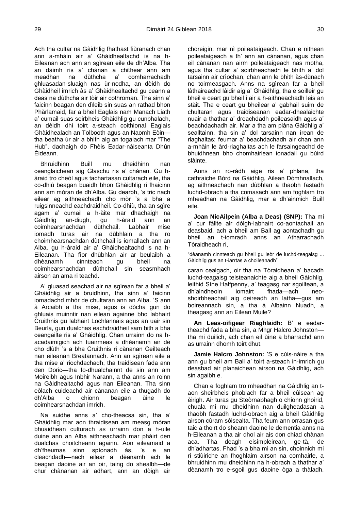Ach tha cultar na Gàidhlig fhathast fiùranach chan ann a-mhàin air a' Ghàidhealtachd is na h-Eileanan ach ann an sgìrean eile de dh'Alba. Tha an dàimh ris a' chànan a chithear ann am meadhan na dùthcha a' comharrachadh ghluasadan-sluaigh nas ùr-nodha, an dèidh do Ghàidheil imrich às a' Ghàidhealtachd gu ceann a deas na dùthcha air tòir air cothroman. Tha sinn a' faicinn beagan den dìleib sin suas an rathad bhon Phàrlamaid, far a bheil Eaglais nam Manach Liath a' cumail suas seirbheis Ghàidhlig gu cunbhalach, an dèidh dhi toirt a-steach coithional Eaglais Ghàidhealach an Tolbooth agus an Naomh Eòin tha beatha ùr air a bhith aig an togalach mar "The Hub", dachaigh do Fhèis Eadar-nàiseanta Dhùn Èideann.

Bhruidhinn Buill mu dheidhinn nan ceanglaichean aig Glaschu ris a' chànan. Gu hàraid tro cheòl agus tachartasan cultarach eile, tha co-dhiù beagan buaidh bhon Ghàidhlig ri fhaicinn ann am mòran de dh'Alba. Gu dearbh, 's tric nach eilear ag aithneachadh cho mòr 's a bha a ruigsinneachd eachdraidheil. Co-dhiù, tha an sgìre agam a' cumail a h-àite mar dhachaigh na Gàidhlig an-diugh, gu h-àraid ann an coimhearsnachdan dùthchail. Labhair mise iomadh turas air na dùbhlain a tha ro choimhearsnachdan dùthchail is iomallach ann an Alba, gu h-àraid air a' Ghàidhealtachd is na h-Eileanan. Tha fìor dhùbhlan air ar beulaibh a dhèanamh cinnteach gu bheil na coimhearsnachdan dùthchail sin seasmhach airson an ama ri teachd.

A' gluasad seachad air na sgìrean far a bheil a' Ghàidhlig air a bruidhinn, tha sinn a' faicinn iomadachd mhòr de chultaran ann an Alba. 'S ann à Arcaibh a tha mise, agus is dòcha gun do ghluais muinntir nan eilean againne bho labhairt Cruithnis gu labhairt Lochlannais agus an uair sin Beurla, gun dualchas eachdraidheil sam bith a bha ceangailte ris a' Ghàidhlig. Chan urrainn do na hacadaimigich ach tuairmeas a dhèanamh air dè cho dlùth 's a bha Cruithnis ri cànanan Ceilteach nan eileanan Breatannach. Ann an sgìrean eile a tha mise a' riochdachadh, tha traidisean fada ann den Doric—tha fo-dhualchainnt de sin ann am Moireibh agus Inbhir Narann, a tha anns an roinn na Gàidhealtachd agus nan Eileanan. Tha sinn eòlach cuideachd air cànanan eile a thugadh do dh'Alba o chionn beagan ùine le coimhearsnachdan imrich.

Na suidhe anns a' cho-theacsa sin, tha a' Ghàidhlig mar aon thraidisean am measg mòran bhuaidhean culturach as urrainn don a h-uile duine ann an Alba aithneachadh mar phàirt den dualchas choitcheann againn. Aon eileamaid a dh'fheumas sinn spìonadh às, 's e an cleachdadh—nach eilear a' dèanamh ach le beagan daoine air an oir, taing do shealbh—de chur chànanan air adhart, ann an dòigh air choreigin, mar nì poileataigeach. Chan e nithean poileataigeach a th' ann an cànanan, agus chan eil cànanan nan airm poileataigeach nas motha, agus tha cultar a' soirbheachadh le bhith a' dol tarsainn air crìochan, chan ann le bhith às-dùnach no toirmeasgach. Anns na sgìrean far a bheil làthaireachd làidir aig a' Ghàidhlig, tha e soilleir gu bheil e ceart gu bheil i air a h-aithneachadh leis an stàit. Tha e ceart gu bheilear a' gabhail suim de chultaran agus traidiseanan eadar-dhealaichte nuair a thathar a' dreachdadh poileasaidh agus a' beachdachadh air. Mar a tha am plàna Gàidhlig a' sealltainn, tha sin a' dol tarsainn nan ìrean de riaghaltas: feumar a' beachdachadh air chan ann a-mhàin le àrd-riaghaltas ach le farsaingeachd de bhuidhnean bho chomhairlean ionadail gu bùird slàinte.

Anns an ro-ràdh aige ris a' phlana, tha cathraiche Bòrd na Gàidhlig, Ailean Dòmhnallach, ag aithneachadh nan dùbhlan a thaobh fastadh luchd-obrach a tha comasach ann am foghlam tro mheadhan na Gàidhlig, mar a dh'ainmich Buill eile.

**Joan NicAilpein (Alba a Deas) (SNP):** Tha mi a' cur fàilte air dòigh-labhairt co-aontachail an deasbaid, ach a bheil am Ball ag aontachadh gu bheil an t-iomradh anns an Atharrachadh Tòraidheach ri,

"dèanamh cinnteach gu bheil gu leòr de luchd-teagaisg ... Gàidhlig gus an t-iarrtas a choileanadh"

caran cealgach, oir tha na Tòraidhean a' bacadh luchd-teagaisg teisteanaichte aig a bheil Gàidhlig, leithid Sìne Halfpenny, a' teagasg nar sgoiltean, a dh'aindheoin iomairt fhada—ach neoshoirbheachail aig deireadh an latha—gus am boireannach sin, a tha à Albainn Nuadh, a theagasg ann an Eilean Muile?

**An Leas-oifigear Riaghlaidh:** B' e eadartheachd fada a bha sin, a Mhgr Halcro Johnston tha mi duilich, ach chan eil ùine a bharrachd ann as urrainn dhomh toirt dhut.

**Jamie Halcro Johnston:** 'S e cùis-nàire a tha ann gu bheil am Ball a' toirt a-steach in-imrich gu deasbad air planaichean airson na Gàidhlig, ach sin agaibh e.

Chan e foghlam tro mheadhan na Gàidhlig an taon sheirbheis phoblach far a bheil cùisean ag èirigh. Air turas gu Steòrnabhagh o chionn ghoirid, chuala mi mu dheidhinn nan duilgheadasan a thaobh fastadh luchd-obrach aig a bheil Gàidhlig airson cùram sòisealta. Tha feum ann orrasan gus taic a thoirt do sheann daoine le dementia anns na h-Eileanan a tha air dhol air ais don chiad chànan aca. Tha deagh eisimpleirean, ge-tà, de dh'adhartas. Fhad 's a bha mi an sin, choinnich mi ri stiùiriche an fhoghlaim airson na comhairle, a bhruidhinn mu dheidhinn na h-obrach a thathar a' dèanamh tro e-sgoil gus daoine òga a thàladh.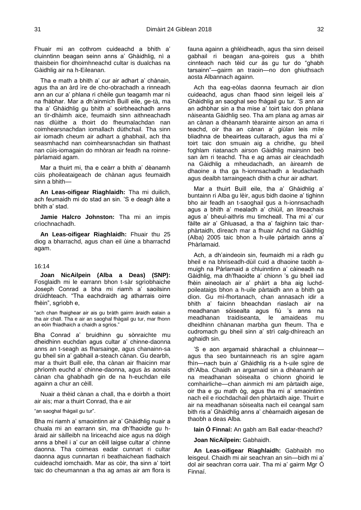Fhuair mi an cothrom cuideachd a bhith a' cluinntinn beagan seinn anns a' Ghàidhlig, nì a thaisbein fìor dhoimhneachd cultar is dualchas na Gàidhlig air na h-Eileanan.

Tha e math a bhith a' cur air adhart a' chànain, agus tha an àrd ìre de cho-obrachadh a rinneadh ann an cur a' phlana ri chèile gun teagamh mar nì na fhàbhar. Mar a dh'ainmich Buill eile, ge-tà, ma tha a' Ghàidhlig gu bhith a' soirbheachadh anns an tìr-dhàimh aice, feumaidh sinn aithneachadh nas dlùithe a thoirt do fheumalachdan nan coimhearsnachdan iomallach dùthchail. Tha sinn air iomadh cheum air adhart a ghabhail, ach tha seasmhachd nan coimhearsnachdan sin fhathast nan cùis-iomagain do mhòran air feadh na roinnepàrlamaid agam.

Mar a thuirt mi, tha e ceàrr a bhith a' dèanamh cùis phoileataigeach de chànan agus feumaidh sinn a bhith—

**An Leas-oifigear Riaghlaidh:** Tha mi duilich, ach feumaidh mi do stad an sin. 'S e deagh àite a bhith a' stad.

**Jamie Halcro Johnston:** Tha mi an impis crìochnachadh.

**An Leas-oifigear Riaghlaidh:** Fhuair thu 25 diog a bharrachd, agus chan eil ùine a bharrachd agam.

#### 16:14

<span id="page-19-0"></span>**Joan NicAilpein (Alba a Deas) (SNP):**  Fosglaidh mi le earrann bhon t-sàr sgrìobhaiche Joseph Conrad a bha mi riamh a' saoilsinn drùidhteach. "Tha eachdraidh ag atharrais oirre fhèin", sgrìobh e,

"ach chan fhaighear air ais gu bràth gairm àraidh ealain a tha air chall. Tha e air an saoghal fhàgail gu tur, mar fhonn an eòin fhiadhaich a chaidh a sgrios."

Bha Conrad a' bruidhinn gu sònraichte mu dheidhinn euchdan agus cultar a' chinne-daonna anns an t-seagh as fharsainge, agus chanainn-sa gu bheil sin a' gabhail a-steach cànan. Gu dearbh, mar a thuirt Buill eile, tha cànan air fhaicinn mar phrìomh euchd a' chinne-daonna, agus às aonais cànan cha ghabhadh gin de na h-euchdan eile againn a chur an cèill.

Nuair a thèid cànan a chall, tha e doirbh a thoirt air ais; mar a thuirt Conrad, tha e air

"an saoghal fhàgail gu tur".

Bha mi riamh a' smaointinn air a' Ghàidhlig nuair a chuala mi an earrann sin, ma dh'fhaoidte gu hàraid air sàilleibh na liriceachd aice agus na dòigh anns a bheil i a' cur an cèill laigse cultar a' chinne daonna. Tha coimeas eadar cunnart ri cultar daonna agus cunnartan ri beathaichean fiadhaich cuideachd iomchaidh. Mar as còir, tha sinn a' toirt taic do cheumannan a tha ag amas air am flora is

fauna againn a ghlèidheadh, agus tha sinn deiseil gabhail ri beagan ana-goireis gus a bhith cinnteach nach tèid cur às gu tur do "ghabh tarsainn"—gairm an traoin—no don ghiuthsach aosta Albannach againn.

Ach tha eag-eòlas daonna feumach air dìon cuideachd, agus chan fhaod sinn leigeil leis a' Ghàidhlig an saoghal seo fhàgail gu tur. 'S ann air an adhbhar sin a tha mise a' toirt taic don phlana nàiseanta Gàidhlig seo. Tha am plana ag amas air an cànan a dhèanamh tèarainte airson an ama ri teachd, oir tha an cànan a' giùlan leis mìle bliadhna de bheairteas cultarach, agus tha mi a' toirt taic don smuain aig a chridhe, gu bheil foghlam riatanach airson Gàidhlig mairsinn beò san àm ri teachd. Tha e ag amas air cleachdadh na Gàidhlig a mheudachadh, an àireamh de dhaoine a tha ga h-ionnsachadh a leudachadh agus dealbh tarraingeach dhith a chur air adhart.

Mar a thuirt Buill eile, tha a' Ghàidhlig a' buntainn ri Alba gu lèir, agus bidh daoine a' tighinn bho air feadh an t-saoghail gus a h-ionnsachadh agus a bhith a' mealadh a' chiùil, an litreachais agus a' bheul-aithris mu timcheall. Tha mi a' cur fàilte air a' Ghluasad, a tha a' faighinn taic tharphàrtaidh, dìreach mar a fhuair Achd na Gàidhlig (Alba) 2005 taic bhon a h-uile pàrtaidh anns a' Phàrlamaid.

Ach, a dh'aindeoin sin, feumaidh mi a ràdh gu bheil e na bhriseadh-dùil cuid a dhaoine taobh amuigh na Pàrlamaid a chluinntinn a' càineadh na Gàidhlig, ma dh'fhaoidte a' chionn 's gu bheil iad fhèin aineolach air a' phàirt a bha aig luchdpoileataigs bhon a h-uile pàrtaidh ann a bhith ga dìon. Gu mì-fhortanach, chan annasach idir a bhith a' faicinn bheachdan riaslach air na meadhanan sòisealta agus fiù 's anns na meadhanan traidiseanta, le amaideas mu dheidhinn chànanan marbha gun fheum. Tha e cudromach gu bheil sinn a' strì calg-dhìreach an aghaidh sin.

'S e aon argamaid shàrachail a chluinnear agus tha seo buntainneach ris an sgìre agam fhìn—nach buin a' Ghàidhlig ris a h-uile sgìre de dh'Alba. Chaidh an argamaid sin a dhèanamh air na meadhanan sòisealta o chionn ghoirid le comhairliche—chan ainmich mi am pàrtaidh aige, oir tha e gu math òg, agus tha mi a' smaointinn nach eil e riochdachail den phàrtaidh aige. Thuirt e air na meadhanan sòisealta nach eil ceangal sam bith ris a' Ghàidhlig anns a' chèarnaidh aigesan de thaobh a deas Alba.

**Iain Ó Finnaí:** An gabh am Ball eadar-theachd?

**Joan NicAilpein:** Gabhaidh.

**An Leas-oifigear Riaghlaidh:** Gabhaibh mo leisgeul. Chaidh mi air seachran an sin—bidh mi a' dol air seachran corra uair. Tha mi a' gairm Mgr Ó Finnaí.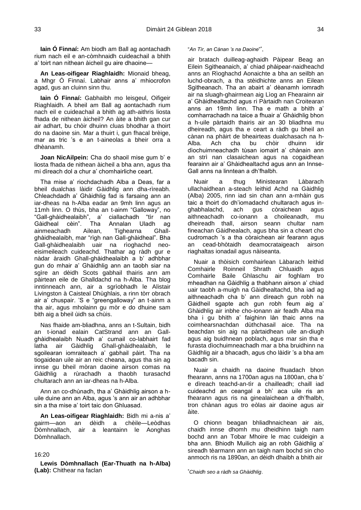**Iain Ó Finnaí:** Am biodh am Ball ag aontachadh rium nach eil e an-còmhnaidh cuideachail a bhith a' toirt nan nithean àicheil gu aire dhaoine—

**An Leas-oifigear Riaghlaidh:** Mionaid bheag, a Mhgr Ó Finnaí. Labhair anns a' mhiocrofon agad, gus an cluinn sinn thu.

**Iain Ó Finnaí:** Gabhaibh mo leisgeul, Oifigeir Riaghlaidh. A bheil am Ball ag aontachadh rium nach eil e cuideachail a bhith ag ath-aithris liosta fhada de nithean àicheil? An àite a bhith gan cur air adhart, bu chòir dhuinn cluas bhodhar a thoirt do na daoine sin. Mar a thuirt i, gun fhacal brèige, mar as tric 's e an t-aineolas a bheir orra a dhèanamh.

**Joan NicAilpein:** Cha do shaoil mise gum b' e liosta fhada de nithean àicheil a bha ann, agus tha mi dìreach dol a chur a' chomhairliche ceart.

Tha mise a' riochdachadh Alba a Deas, far a bheil dualchas làidir Gàidhlig ann dha-rìreabh. Chleachdadh a' Ghàidhlig fad is farsaing ann an iar-dheas na h-Alba eadar an 9mh linn agus an 11mh linn. O thùs, bha an t-ainm "Galloway", no "Gall-ghàidhealaibh", a' ciallachadh "tìr nan Gàidheal cèin". Tha Annalan Uladh ag ainmeachadh Ailean, Tighearna Ghallghàidhealaibh, mar "rìgh nan Gall-ghàidheal". Bha Gall-ghàidhealaibh uair na rìoghachd neoeisimeileach cuideachd. Thathar ag ràdh gur e nàdar àraidh Ghall-ghàidhealaibh a b' adhbhar gun do mhair a' Ghàidhlig ann an taobh siar na sgìre an dèidh Scots gabhail thairis ann am pàirtean eile de Ghalldachd na h-Alba. Tha blog inntinneach ann, air a sgrìobhadh le Alistair Livingston à Caisteal Dhùghlais, a rinn tòrr obrach air a' chuspair. 'S e "greengalloway" an t-ainm a tha air, agus mholainn gu mòr e do dhuine sam bith aig a bheil ùidh sa chùis.

Nas fhaide am-bliadhna, anns an t-Sultain, bidh an t-ionad ealain CatStrand ann an Gallghàidhealaibh Nuadh a' cumail co-labhairt fad latha air Gàidhlig Ghall-ghàidhealaibh, le sgoilearan iomraiteach a' gabhail pàirt. Tha na tiogaidean uile air an reic cheana, agus tha sin ag innse gu bheil mòran daoine airson comas na Gàidhlig a rùrachadh a thaobh turasachd chultarach ann an iar-dheas na h-Alba.

Ann an co-dhùnadh, tha a' Ghàidhlig airson a huile duine ann an Alba, agus 's ann air an adhbhar sin a tha mise a' toirt taic don Ghluasad.

**An Leas-oifigear Riaghlaidh:** Bidh mi a-nis a' gairm—aon an dèidh a chèile—Leòdhas Dòmhnallach, air a leantainn le Aonghas Dòmhnallach.

# 16:20

<span id="page-20-0"></span>**Lewis Dòmhnallach (Ear-Thuath na h-Alba) (Lab):** Chithear na faclan

#### "*An Tìr, an Cànan 's na Daoine*" \* ,

air bratach duilleag-aghaidh Pàipear Beag an Eilein Sgitheanaich, a' chiad phàipear-naidheachd anns an Rìoghachd Aonaichte a bha an seilbh an luchd-obrach, a tha stèidhichte anns an Eilean Sgitheanach. Tha an abairt a' dèanamh iomradh air na sluagh-ghairmean aig Lìog an Fhearainn air a' Ghàidhealtachd agus ri Pàrtaidh nan Croitearan anns an 19mh linn. Tha e math a bhith a' comharrachadh na taice a fhuair a' Ghàidhlig bhon a h-uile pàrtaidh thairis air an 30 bliadhna mu dheireadh, agus tha e ceart a ràdh gu bheil an cànan na phàirt de bheairteas dualchasach na h-Alba. Ach cha bu chòir dhuinn idir dìochuimneachadh tùsan iomairt a' chànain ann an strì nan clasaichean agus na cogaidhean fearainn air a' Ghàidhealtachd agus ann an Innse-Gall anns na linntean a dh'fhalbh.

Nuair a thug Ministearan Làbarach ullachaidhean a-steach leithid Achd na Gàidhlig (Alba) 2005, rinn iad sin chan ann a-mhàin gus taic a thoirt do dh'iomadachd chultarach agus inghabhalachd, ach gus còraichean agus aithneachadh co-ionann a choileanadh, mu dheireadh thall, airson seann chultar nam fineachan Gàidhealach, agus bha sin a cheart cho cudromach 's a tha còraichean air fearann agus an cead-bhòtaidh deamocrataigeach airson riaghaltas ionadail agus nàiseanta.

Nuair a thòisich comhairlean Làbarach leithid Comhairle Roinneil Shrath Chluaidh agus Comhairle Baile Ghlaschu air foghlam tro mheadhan na Gàidhlig a thabhann airson a' chiad uair taobh a-muigh na Gàidhealtachd, bha iad ag aithneachadh cha b' ann dìreach gun robh na Gàidheil sgapte ach gun robh feum aig a' Ghàidhlig air inbhe cho-ionann air feadh Alba ma bha i gu bhith a' faighinn làn thaic anns na coimhearsnachdan dùthchasail aice. Tha na beachdan sin aig na pàrtaidhean uile an-diugh agus aig buidhnean poblach, agus mar sin tha e furasta dìochuimneachadh mar a bha bruidhinn na Gàidhlig air a bhacadh, agus cho làidir 's a bha am bacadh sin.

Nuair a chaidh na daoine fhuadach bhon fhearann, anns na 1700an agus na 1800an, cha b' e dìreach teachd-an-tìr a chailleadh; chaill iad cuideachd an ceangal a bh' aca uile ris an fhearann agus ris na ginealaichean a dh'fhalbh, tron chànan agus tro eòlas air daoine agus air àite.

O chionn beagan bhliadhnaichean air ais, chaidh innse dhomh mu dheidhinn taigh nam bochd ann an Tobar Mhoire le mac cuideigin a bha ann. Bhiodh Muilich aig an robh Gàidhlig a' sireadh tèarmann ann an taigh nam bochd sin cho anmoch ris na 1890an, an dèidh dhaibh a bhith air

\**Chaidh seo a ràdh sa Ghàidhlig*.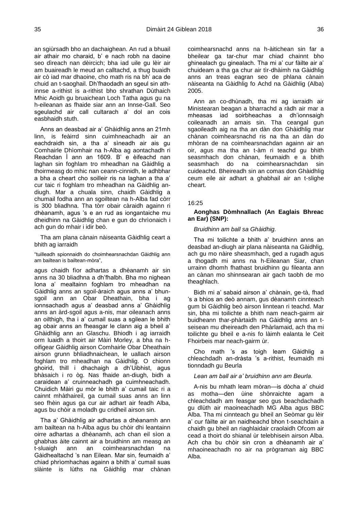an sgiùrsadh bho an dachaighean. An rud a bhuail air athair mo charaid, b' e nach robh na daoine seo dìreach nan dèircich; bha iad uile gu lèir air am buaireadh le meud an calltachd, a thug buaidh air cò iad mar dhaoine, cho math ris na bh' aca de chuid an t-saoghail. Dh'fhaodadh an sgeul sin athinnse a-rithist is a-rithist bho shrathan Dùthaich Mhic Aoidh gu bruaichean Loch Tatha agus gu na h-eileanan as fhaide siar ann an Innse-Gall. Seo sgeulachd air call cultarach a' dol an cois easbhaidh stuth.

Anns an deasbad air a' Ghàidhlig anns an 21mh linn, is feàirrd sinn cuimhneachadh air an eachdraidh sin, a tha a' sìneadh air ais gu Comhairle Dhìomhair na h-Alba ag aontachadh ri Reachdan Ì ann an 1609. B' e èifeachd nan laghan sin foghlam tro mheadhan na Gàidhlig a thoirmeasg do mhic nan ceann-cinnidh, le adhbhar a bha a cheart cho soilleir ris na laghan a tha a' cur taic ri foghlam tro mheadhan na Gàidhlig andiugh. Mar a chuala sinn, chaidh Gàidhlig a chumail fodha ann an sgoiltean na h-Alba fad còrr is 300 bliadhna. Tha tòrr obair càraidh againn ri dhèanamh, agus 's e an rud as iongantaiche mu dheidhinn na Gàidhlig chan e gun do chrìonaich i ach gun do mhair i idir beò.

Tha am plana cànain nàiseanta Gàidhlig ceart a bhith ag iarraidh

"tuilleadh spionnaidh do choimhearsnachdan Gàidhlig ann am bailtean is bailtean-mòra",

agus chaidh fìor adhartas a dhèanamh air sin anns na 30 bliadhna a dh'fhalbh. Bha mo nighean Iona a' mealtainn foghlam tro mheadhan na Gàidhlig anns an sgoil-àraich agus anns a' bhunsgoil ann an Obar Dheathain, bha i ag ionnsachadh agus a' deasbad anns a' Ghàidhlig anns an àrd-sgoil agus a-nis, mar oileanach anns an oilthigh, tha i a' cumail suas a sgilean le bhith ag obair anns an fheasgar le clann aig a bheil a' Ghàidhlig ann an Glaschu. Bhiodh i ag iarraidh orm luaidh a thoirt air Màiri Morley, a bha na hoifigear Gàidhlig airson Comhairle Obar Dheathain airson grunn bhliadhnaichean, le uallach airson foghlam tro mheadhan na Gàidhlig. O chionn ghoirid, thill i dhachaigh a dh'Uibhist, agus bhàsaich i ro òg. Nas fhaide an-diugh, bidh a caraidean a' cruinneachadh ga cuimhneachadh. Chuidich Màiri gu mòr le bhith a' cumail taic ri a cainnt mhàthaireil, ga cumail suas anns an linn seo fhèin agus ga cur air adhart air feadh Alba, agus bu chòir a moladh gu cridheil airson sin.

Tha a' Ghàidhlig air adhartas a dhèanamh ann am bailtean na h-Alba agus bu chòir dhi leantainn oirre adhartas a dhèanamh, ach chan eil sìon a ghabhas àite cainnt air a bruidhinn am measg an t-sluaigh ann an coimhearsnachdan na Gàidhealtachd 's nan Eilean. Mar sin, feumaidh a' chiad phrìomhachas againn a bhith a' cumail suas slàinte is lùths na Gàidhlig mar chànan coimhearsnachd anns na h-àitichean sin far a bheilear ga tar-chur mar chiad chainnt bho ghinealach gu ginealach. Tha mi a' cur fàilte air a' chuideam a tha ga chur air tìr-dhàimh na Gàidhlig anns an treas eagran seo de phlana cànain nàiseanta na Gàidhlig fo Achd na Gàidhlig (Alba) 2005.

Ann an co-dhùnadh, tha mi ag iarraidh air Ministearan beagan a bharrachd a ràdh air mar a mheasas iad soirbheachas a dh'ionnsaigh coileanadh an amais sin. Tha ceangal gun sgaoileadh aig na tha an dàn don Ghàidhlig mar chànan coimhearsnachd ris na tha an dàn do mhòran de na coimhearsnachdan againn air an oir, agus ma tha an t-àm ri teachd gu bhith seasmhach don chànan, feumaidh e a bhith seasmhach do na coimhearsnachdan sin cuideachd. Bheireadh sin an comas don Ghàidhlig ceum eile air adhart a ghabhail air an t-slighe cheart.

#### 16:25

## <span id="page-21-0"></span>**Aonghas Dòmhnallach (An Eaglais Bhreac an Ear) (SNP):**

*Bruidhinn am ball sa Ghàidhig.*

Tha mi toilichte a bhith a' bruidhinn anns an deasbad an-diugh air plana nàiseanta na Gàidhlig, ach gu mo nàire sheasmhach, ged a rugadh agus a thogadh mi anns na h-Eileanan Siar, chan urrainn dhomh fhathast bruidhinn gu fileanta ann an cànan mo shinnsearan air gach taobh de mo theaghlach.

Bidh mi a' sabaid airson a' chànain, ge-tà, fhad 's a bhios an deò annam, gus dèanamh cinnteach gum bi Gàidhlig beò airson linntean ri teachd. Mar sin, bha mi toilichte a bhith nam neach-gairm air buidheann thar-phàrtaidh na Gàidhlig anns an tseisean mu dheireadh den Phàrlamaid, ach tha mi toilichte gu bheil e a-nis fo làimh ealanta le Ceit Fhoirbeis mar neach-gairm ùr.

Cho math 's as toigh leam Gàidhlig a chleachdadh an-dràsta 's a-rithist, feumaidh mi tionndadh gu Beurla

# *Lean am ball air a' bruidhinn ann am Beurla.*

A-nis bu mhath leam mòran—is dòcha a' chuid as motha—den ùine shònraichte agam a chleachdadh am feasgar seo gus beachdachadh gu dlùth air maoineachadh MG Alba agus BBC Alba. Tha mi cinnteach gu bheil an Seòmar gu lèir a' cur fàilte air an naidheachd bhon t-seachdain a chaidh gu bheil an riaghlaidair craolaidh Ofcom air cead a thoirt do shianal ùr telebhisein airson Alba. Ach cha bu chòir sin cron a dhèanamh air a' mhaoineachadh no air na prògraman aig BBC Alba.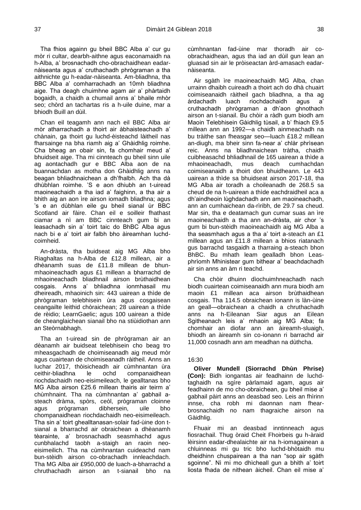Tha fhios againn gu bheil BBC Alba a' cur gu mòr ri cultar, dearbh-aithne agus eaconamaidh na h-Alba, a' brosnachadh cho-obrachaidhean eadarnàiseanta agus a' cruthachadh phrògraman a tha aithnichte gu h-eadar-nàiseanta. Am-bliadhna, tha BBC Alba a' comharrachadh an 10mh bliadhna aige. Tha deagh chuimhne agam air a' phàrtaidh bogaidh, a chaidh a chumail anns a' bhaile mhòr seo; chòrd an tachartas ris a h-uile duine, mar a bhiodh Buill an dùil.

Chan eil teagamh ann nach eil BBC Alba air mòr atharrachadh a thoirt air àbhaisteachadh a' chànain, ga thoirt gu luchd-èisteachd làitheil nas fharsainge na bha riamh aig a' Ghàidhlig roimhe. Cha bheag an obair sin, fa chomhair meud a' bhuidseit aige. Tha mi cinnteach gu bheil sinn uile ag aontachadh gur e BBC Alba aon de na buannachdan as motha don Ghàidhlig anns na beagan bhliadhnaichean a dh'fhalbh. Ach tha dà dhùbhlan roimhe. 'S e aon dhiubh an t-uiread maoineachaidh a tha iad a' faighinn, a tha air a bhith aig an aon ìre airson iomadh bliadhna: agus 's e an dùbhlan eile gu bheil sianal ùr BBC Scotland air fàire. Chan eil e soilleir fhathast ciamar a nì am BBC cinnteach gum bi an leasachadh sin a' toirt taic do BhBC Alba agus nach bi e a' toirt air falbh bho àireamhan luchdcoimheid.

An-dràsta, tha buidseat aig MG Alba bho Riaghaltas na h-Alba de £12.8 millean, air a dhèanamh suas de £11.8 millean de bhunmhaoineachadh agus £1 millean a bharrachd de mhaoineachadh bliadhnail airson brùthaidhean cosgais. Anns a' bhliadhna ionmhasail mu dheireadh, mhaoinich sin: 443 uairean a thìde de phrògraman telebhisein ùra agus cosgaisean ceangailte leithid chòraichean; 28 uairean a thìde de rèidio; LearnGaelic; agus 100 uairean a thìde de cheanglaichean sianail bho na stiùidiothan ann an Steòrnabhagh.

Tha an t-uiread sin de phrògraman air an dèanamh air buidseat telebhisein cho beag tro mheasgachadh de choimiseanadh aig meud mòr agus cuairtean de choimiseanadh ràitheil. Anns an Iuchar 2017, thòisicheadh air cùmhnantan ùra ceithir-bliadhna le ochd companaidhean riochdachaidh neo-eisimeileach, le gealltanas bho MG Alba airson £25.6 millean thairis air teirm a' chùmhnaint. Tha na cùmhnantan a' gabhail asteach dràma, spòrs, ceòl, prògraman cloinne agus prògraman dibhersein, uile bho chompanaidhean riochdachaidh neo-eisimeileach. Tha sin a' toirt ghealltanasan-solair fad-ùine don tsianal a bharrachd air obraichean a dhèanamh tèarainte, a' brosnachadh seasmhachd agus cunbhalachd taobh a-staigh an raoin neoeisimeilich. Tha na cùmhnantan cuideachd nam bun-stèidh airson co-obrachadh innleachdach. Tha MG Alba air £950,000 de luach-a-bharrachd a chruthachadh airson an t-sianail bho na

cùmhnantan fad-ùine mar thoradh air coobrachaidhean, agus tha iad an dùil gun lean an gluasad sin air le pròiseactan àrd-amasach eadarnàiseanta.

Air sgàth ìre maoineachaidh MG Alba, chan urrainn dhaibh cuireadh a thoirt ach do dhà chuairt coimiseanaidh ràitheil gach bliadhna, a tha ag àrdachadh luach riochdachaidh agus a' cruthachadh phrògraman a dh'aon ghnothach airson an t-sianail. Bu chòir a ràdh gum biodh am Maoin Telebhisein Gàidhlig tùsail, a b' fhiach £9.5 millean ann an 1992—a chaidh ainmeachadh na bu tràithe san fheasgar seo—luach £18.2 millean an-diugh, ma bheir sinn fa-near a' chlàr phrìsean reic. Anns na bliadhnaichean tràtha, chaidh cuibheasachd bhliadhnail de 165 uairean a thìde a mhaoineachadh, mus deach cumhachdan coimiseanaidh a thoirt don bhuidheann. Le 443 uairean a thìde sa bhuidseat airson 2017-18, tha MG Alba air toradh a choileanadh de 268.5 sa cheud de na h-uairean a thìde eachdraidheil aca a dh'aindheoin lùghdachadh ann am maoineachadh, ann an cumhaichean da-rìribh, de 29.7 sa cheud. Mar sin, tha e deatamach gun cumar suas an ìre maoineachaidh a tha ann an-dràsta, air chor 's gum bi bun-stèidh maoineachaidh aig MG Alba a tha seasmhach agus a tha a' toirt a-steach an £1 millean agus an £11.8 millean a bhios riatanach gus barrachd tasgaidh a tharraing a-steach bhon BhBC. Bu mhath leam gealladh bhon Leasphrìomh Mhinistear gum bithear a' beachdachadh air sin anns an àm ri teachd.

Cha chòir dhuinn dìochuimhneachadh nach biodh cuairtean coimiseanaidh ann mura biodh am maoin £1 millean aca airson brùthaidhean cosgais. Tha 114.5 obraichean ionann is làn-ùine an geall—obraichean a chaidh a chruthachadh anns na h-Eileanan Siar agus an Eilean Sgitheanach leis a' mhaoin aig MG Alba; fa chomhair an diofar ann an àireamh-sluaigh, bhiodh an àireamh sin co-ionann ri barrachd air 11,000 cosnadh ann am meadhan na dùthcha.

#### 16:30

<span id="page-22-0"></span>**Oliver Mundell (Siorrachd Dhùn Phrise) (Con):** Bidh iongantas air feadhainn de luchdtaghaidh na sgìre pàrlamaid agam, agus air feadhainn de mo cho-obraichean, gu bheil mise a' gabhail pàirt anns an deasbad seo. Leis an fhìrinn innse, cha robh mi daonnan nam fhearbrosnachaidh no nam thagraiche airson na Gàidhlig.

Fhuair mi an deasbad inntinneach agus fiosrachail. Thug òraid Cheit Fhoirbeis gu h-àraid lèirsinn eadar-dhealaichte air na h-iomagainean a chluinneas mi gu tric bho luchd-bhòtaidh mu dheidhinn chuspairean a tha nan "sop air sgàth sgoinne". Nì mi mo dhìcheall gun a bhith a' toirt liosta fhada de nithean àicheil. Chan eil mise a'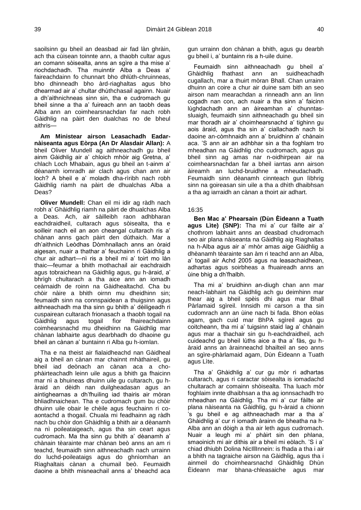saoilsinn gu bheil an deasbad air fad làn ghràin, ach tha cùisean toinnte ann, a thaobh cultar agus an comann sòisealta, anns an sgìre a tha mise a' riochdachadh. Tha muinntir Alba a Deas a' faireachdainn fo chunnart bho dhlùth-chruinneas, bho dhinneadh bho àrd-riaghaltas agus bho dhearmad air a' chultar dhùthchasail againn. Nuair a dh'aithnichneas sinn sin, tha e cudromach gu bheil sinne a tha a' fuireach ann an taobh deas Alba ann an coimhearsnachdan far nach robh Gàidhlig na pàirt den dualchas no de bheul aithris—

**Am Ministear airson Leasachadh Eadarnàiseanta agus Eòrpa (An Dr Alasdair Allan):** A bheil Oliver Mundell ag aithneachadh gu bheil ainm Gàidhlig air a' chloich mhòir aig Gretna, a' chlach Loch Mhabain, agus gu bheil an t-ainm a' dèanamh iomradh air clach agus chan ann air loch? A bheil e a' moladh dha-rìribh nach robh Gàidhlig riamh na pàirt de dhualchas Alba a Deas?

**Oliver Mundell:** Chan eil mi idir ag ràdh nach robh a' Ghàidhlig riamh na pàirt de dhualchas Alba a Deas. Ach, air sàilleibh raon adhbharan eachdraidheil, cultarach agus sòisealta, tha e soilleir nach eil an aon cheangal cultarach ris a' chànan anns gach pàirt den dùthaich. Mar a dh'aithnich Leòdhas Dòmhnallach anns an òraid aigesan, nuair a thathar a' feuchainn ri Gàidhlig a chur air adhart—nì ris a bheil mi a' toirt mo làn thaic—feumar a bhith mothachail air eachdraidh agus tobraichean na Gàidhlig agus, gu h-àraid, a' bhrìgh chultarach a tha aice ann an iomadh ceàrnaidh de roinn na Gàidhealtachd. Cha bu chòir nàire a bhith oirnn mu dheidhinn sin; feumaidh sinn na connspaidean a thuigsinn agus aithneachadh ma tha sinn gu bhith a' dèiligeadh ri cuspairean cultarach frionasach a thaobh togail na Gàidhlig agus togail fìor fhaireachdainn coimhearsnachd mu dheidhinn na Gàidhlig mar chànan labhairte agus dearbhadh do dhaoine gu bheil an cànan a' buntainn ri Alba gu h-iomlan.

Tha e na theist air fialaidheachd nan Gàidheal aig a bheil an cànan mar chainnt mhàthaireil, gu bheil iad deònach an cànan aca a chophàirteachadh leinn uile agus a bhith ga fhaicinn mar nì a bhuineas dhuinn uile gu cultarach, gu hàraid an dèidh nan duilgheadasan agus an aintighearnas a dh'fhuiling iad thairis air mòran bhliadhnaichean. Tha e cudromach gum bu chòir dhuinn uile obair le chèile agus feuchainn ri coaontachd a thogail. Chuala mi feadhainn ag ràdh nach bu chòir don Ghàidhlig a bhith air a dèanamh na nì poileataigeach, agus tha sin ceart agus cudromach. Ma tha sinn gu bhith a' dèanamh a' chànain tèarainte mar chànan beò anns an am ri teachd, feumaidh sinn aithneachadh nach urrainn do luchd-poileataigs agus do ghnìomhan an Riaghaltais cànan a chumail beò. Feumaidh daoine a bhith misneachail anns a' bheachd aca gun urrainn don chànan a bhith, agus gu dearbh gu bheil i, a' buntainn ris a h-uile duine.

Feumaidh sinn aithneachadh gu bheil a' Ghàidhlig fhathast ann an suidheachadh cugallach, mar a thuirt mòran Bhall. Chan urrainn dhuinn an coire a chur air duine sam bith an seo airson nam mearachdan a rinneadh ann an linn cogadh nan con, ach nuair a tha sinn a' faicinn lùghdachadh ann an àireamhan a' chunntassluaigh, feumaidh sinn aithneachadh gu bheil sin mar thoradh air a' choimhearsnachd a' tighinn gu aois àraid, agus tha sin a' ciallachadh nach bi daoine an-còmhnaidh ann a' bruidhinn a' chànain aca. 'S ann air an adhbhar sin a tha foghlam tro mheadhan na Gàidhlig cho cudromach, agus gu bheil sinn ag amas nar n-oidhirpean air na coimhearsnachdan far a bheil iarrtas ann airson àireamh an luchd-bruidhne a mheudachadh. Feumaidh sinn dèanamh cinnteach gun lìbhrig sinn na goireasan sin uile a tha a dhìth dhaibhsan a tha ag iarraidh an cànan a thoirt air adhart.

#### 16:35

<span id="page-23-0"></span>**Ben Mac a' Phearsain (Dùn Èideann a Tuath agus Lìte) (SNP):** Tha mi a' cur fàilte air a' chothrom labhairt anns an deasbad chudromach seo air plana nàiseanta na Gàidhlig aig Riaghaltas na h-Alba agus air a' mhòr amas aige Gàidhlig a dhèanamh tèarainte san àm ri teachd ann an Alba, a' togail air Achd 2005 agus na leasachaidhean, adhartas agus soirbheas a fhuaireadh anns an ùine bhig a dh'fhalbh.

Tha mi a' bruidhinn an-diugh chan ann mar neach-labhairt na Gàidhlig ach gu deimhinn mar fhear aig a bheil spèis dhi agus mar Bhall Pàrlamaid sgìreil. Innsidh mi carson a tha sin cudomrach ann an ùine nach bi fada. Bhon eòlas agam, gach cuid mar BhPA sgìreil agus gu coitcheann, tha mi a' tuigsinn staid lag a' chànain agus mar a thachair sin gu h-eachdraidheil, ach cuideachd gu bheil lùths aice a tha a' fàs, gu hàraid anns an àrainneachd bhailteil an seo anns an sgìre-phàrlamaid agam, Dùn Èideann a Tuath agus Lìte.

Tha a' Ghàidhlig a' cur gu mòr ri adhartas cultarach, agus ri caractar sòisealta is iomadachd chultarach ar comainn shòisealta. Tha luach mòr foghlaim innte dhaibhsan a tha ag ionnsachadh tro mheadhan na Gàidhlig. Tha mi a' cur fàilte air plana nàiseanta na Gàidhlig, gu h-àraid a chionn 's gu bheil e ag aithneachadh mar a tha a' Ghàidhlig a' cur ri iomadh àrainn de bheatha na h-Alba ann an dòigh a tha air leth agus cudromach. Nuair a leugh mi a' phàirt sin den phlana, smaoinich mi air dithis air a bheil mi eòlach. 'S i a' chiad dhiubh Dolina NicIllInnein: is fhada a tha i air a bhith na tagraiche airson na Gàidhlig, agus tha i ainmeil do choimhearsnachd Ghàidhlig Dhùn Èideann mar bhana-chleasaiche agus mar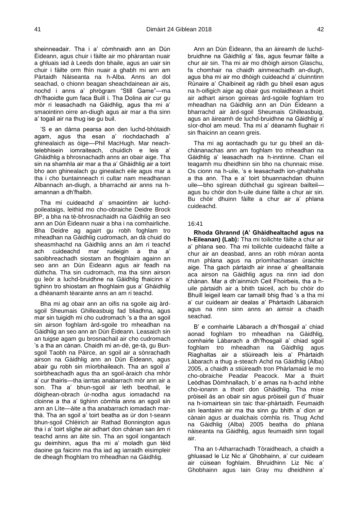sheinneadair. Tha i a' còmhnaidh ann an Dùn Èideann, agus chuir i fàilte air mo phàrantan nuair a ghluais iad à Leeds don bhaile, agus an uair sin chuir i fàilte orm fhìn nuair a ghabh mi ann am Pàrtaidh Nàiseanta na h-Alba. Anns an dol seachad, o chionn beagan sheachdainean air ais, nochd i anns a' phrògram "Still Game"—ma dh'fhaoidte gum faca Buill i. Tha Dolina air cur gu mòr ri leasachadh na Gàidhlig, agus tha mi a' smaointinn oirre an-diugh agus air mar a tha sinn a' togail air na thug ise gu buil.

'S e an dàrna pearsa aon den luchd-bhòtaidh agam, agus tha esan a' riochdachadh a' ghinealaich as òige—Phil MacHugh. Mar neachtelebhisein iomraiteach, chuidich e leis a' Ghàidhlig a bhrosnachadh anns an obair aige. Tha sin na shamhla air mar a tha a' Ghàidhlig air a toirt bho aon ghinealach gu ginealach eile agus mar a tha i cho buntainneach ri cultar nam meadhanan Albannach an-diugh, a bharrachd air anns na hamannan a dh'fhalbh.

Tha mi cuideachd a' smaointinn air luchdpoileataigs, leithid mo cho-obraiche Deidre Brock BP, a bha na tè-bhrosnachaidh na Gàidhlig an seo ann an Dùn Èideann nuair a bha i na comhairliche. Bha Deidre ag agairt gu robh foghlam tro mheadhan na Gàidhlig cudromach, an dà chuid do sheasmhachd na Gàidhlig anns an àm ri teachd ach cuideachd mar rudeigin a tha a' saoibhreachadh siostam an fhoghlaim againn an seo ann an Dùn Èideann agus air feadh na dùthcha. Tha sin cudromach, ma tha sinn airson gu leòr a luchd-bruidhne na Gàidhlig fhaicinn a' tighinn tro shiostam an fhoghlaim gus a' Ghàidhlig a dhèanamh tèarainte anns an am ri teachd.

Bha mi ag obair ann an oifis na sgoile aig àrdsgoil Sheumais Ghilleasbuig fad bliadhna, agus mar sin tuigidh mi cho cudromach 's a tha an sgoil sin airson foghlam àrd-sgoile tro mheadhan na Gàidhlig an seo ann an Dùn Èideann. Leasaich sin an tuigse agam gu brosnachail air cho cudromach 's a tha an cànan. Chaidh mi an-dè, ge-tà, gu Bunsgoil Taobh na Pàirce, an sgoil air a sònrachadh airson na Gàidhlig ann an Dùn Èideann, agus abair gu robh sin mìorbhaileach. Tha an sgoil a' soirbheachadh agus tha an sgoil-àraich cha mhòr a' cur thairis—tha iarrtas anabarrach mòr ann air a son. Tha a' bhun-sgoil air leth beothail, le dòighean-obrach ùr-nodha agus iomadachd na cloinne a tha a' tighinn còmhla anns an sgoil sin ann an Lìte—àite a tha anabarrach iomadach marthà. Tha an sgoil a' toirt beatha as ùr don t-seann bhun-sgoil Chlèirich air Rathad Bonnington agus tha i a' toirt slighe air adhart don chànan san àm ri teachd anns an àite sin. Tha an sgoil iongantach gu deimhinn, agus tha mi a' moladh gun tèid daoine ga faicinn ma tha iad ag iarraidh eisimpleir de dheagh fhoghlam tro mheadhan na Gàidhlig.

Ann an Dùn Èideann, tha an àireamh de luchdbruidhne na Gàidhlig a' fàs, agus feumar fàilte a chur air sin. Tha mi air mo dhòigh airson Glaschu, fa chomhair na chaidh ainmeachadh an-diugh, agus bha mi air mo dhòigh cuideachd a' cluinntinn Rùnaire a' Chaibineit ag ràdh gu bheil esan agus na h-oifigich aige ag obair gus molaidhean a thoirt air adhart airson goireas àrd-sgoile foghlam tro mheadhan na Gàidhlig ann an Dùn Èideann a bharrachd air àrd-sgoil Sheumais Ghilleasbuig, agus an àireamh de luchd-bruidhne na Gàidhlig a' sìor-dhol am meud. Tha mi a' dèanamh fiughair ri sin fhaicinn an ceann greis.

Tha mi ag aontachadh gu tur gu bheil an dàchànanachas ann am foghlam tro mheadhan na Gàidhlig a' leasachadh na h-inntinne. Chan eil teagamh mu dheidhinn sin bho na chunnaic mise. Os cionn na h-uile, 's e leasachadh ion-ghabhalta a tha ann. Tha e a' toirt bhuannachdan dhuinn uile—bho sgìrean dùthchail gu sgìrean bailteil agus bu chòir don h-uile duine fàilte a chur air sin. Bu chòir dhuinn fàilte a chur air a' phlana cuideachd.

#### 16:41

<span id="page-24-0"></span>**Rhoda Ghrannd (A' Ghàidhealtachd agus na h-Eileanan) (Lab):** Tha mi toilichte fàilte a chur air a' phlana seo. Tha mi toilichte cuideachd fàilte a chur air an deasbad, anns an robh mòran aonta mun phlana agus na prìomhachasan ùraichte aige. Tha gach pàrtaidh air innse a' ghealltanais aca airson na Gàidhlig agus na rinn iad don chànan. Mar a dh'ainmich Ceit Fhoirbeis, tha a huile pàrtaidh air a bhith taiceil, ach bu chòir do Bhuill leigeil leam car tamaill bhig fhad 's a tha mi a' cur cuideam air dealas a' Phàrtaidh Làbaraich agus na rinn sinn anns an aimsir a chaidh seachad.

B' e comhairle Làbarach a dh'fhosgail a' chiad aonad foghlam tro mheadhan na Gàidhlig, comhairle Làbarach a dh'fhosgail a' chiad sgoil foghlam tro mheadhan na Gàidhlig agus Riaghaltas air a stiùireadh leis a' Phàrtaidh Làbarach a thug a-steach Achd na Gàidhlig (Alba) 2005, a chaidh a stiùireadh tron Phàrlamaid le mo cho-obraiche Peadar Peacock. Mar a thuirt Leòdhas Dòmhnallach, b' e amas na h-achd inbhe cho-ionann a thoirt don Ghàidhlig. Tha mise pròiseil às an obair sin agus pròiseil gun d' fhuair na h-iomairtean sin taic thar-phàrtaidh. Feumaidh sin leantainn air ma tha sinn gu bhith a' dìon ar cànain agus ar dualchais còmhla ris. Thug Achd na Gàidhlig (Alba) 2005 beatha do phlana nàiseanta na Gàidhlig, agus feumaidh sinn togail air.

Tha an t-Atharrachadh Tòraidheach, a chaidh a ghluasad le Liz Nic a' Ghobhainn, a' cur cuideam air cùisean foghlaim. Bhruidhinn Liz Nic a' Ghobhainn agus Iain Gray mu dheidhinn a'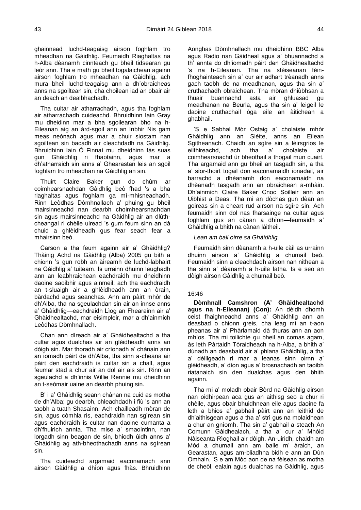ghainnead luchd-teagaisg airson foghlam tro mheadhan na Gàidhlig. Feumaidh Riaghaltas na h-Alba dèanamh cinnteach gu bheil tidsearan gu leòr ann. Tha e math gu bheil togalaichean againn airson foghlam tro mheadhan na Gàidhlig, ach mura bheil luchd-teagaisg ann a dh'obraicheas anns na sgoiltean sin, cha choilean iad an obair air an deach an dealbhachadh.

Tha cultar air atharrachadh, agus tha foghlam air atharrachadh cuideachd. Bhruidhinn Iain Gray mu dheidinn mar a bha sgoilearan bho na h-Eileanan aig an àrd-sgoil ann an Inbhir Nis gam meas neònach agus mar a chuir siostam nan sgoiltean sin bacadh air cleachdadh na Gàidhlig. Bhruidhinn Iain Ó Finnaí mu dheidhinn fàs suas gun Ghàidhlig ri fhaotainn, agus mar a dh'atharraich sin anns a' Ghearastan leis an sgoil foghlam tro mheadhan na Gàidhlig an sin.

Thuirt Claire Baker gun do chùm ar coimhearsnachdan Gàidhlig beò fhad 's a bha riaghaltas agus foghlam ga mì-mhisneachadh. Rinn Leòdhas Dòmhnallach a' phuing gu bheil mairsinneachd nan dearbh choimhearsnachdan sin agus mairsinneachd na Gàidhlig air an dlùthcheangal ri chèile uiread 's gum feum sinn an dà chuid a ghlèidheadh gus fear seach fear a mhairsinn beò.

Carson a tha feum againn air a' Ghàidhlig? Thàinig Achd na Gàidhlig (Alba) 2005 gu bith a chionn 's gun robh an àireamh de luchd-labhairt na Gàidhlig a' tuiteam. Is urrainn dhuinn leughadh ann an leabhraichean eachdraidh mu dheidhinn daoine saoibhir agus ainmeil, ach tha eachdraidh an t-sluaigh air a ghlèidheadh ann an òrain, bàrdachd agus seanchas. Ann am pàirt mhòr de dh'Alba, tha na sgeulachdan sin air an innse anns a' Ghàidhlig—eachdraidh Lìog an Fhearainn air a' Ghàidhealtachd, mar eisimpleir, mar a dh'ainmich Leòdhas Dòmhnallach.

Chan ann dìreach air a' Ghàidhealtachd a tha cultar agus dualchas air an glèidheadh anns an dòigh sin. Mar thoradh air crìonadh a' chànain ann an iomadh pàirt de dh'Alba, tha sinn a-cheana air pàirt den eachdraidh is cultar sin a chall, agus feumar stad a chur air an dol air ais sin. Rinn an sgeulachd a dh'innis Willie Rennie mu dheidhinn an t-seòmair uaine an dearbh phuing sin.

B' i a' Ghàidhlig seann chànan na cuid as motha de dh'Alba; gu dearbh, chleachdadh i fiù 's ann an taobh a tuath Shasainn. Ach chailleadh mòran de sin, agus còmhla ris, eachdraidh nan sgìrean sin agus eachdraidh is cultar nan daoine cumanta a dh'fhuirich annta. Tha mise a' smaointinn, nan lorgadh sinn beagan de sin, bhiodh ùidh anns a' Ghàidhlig ag ath-bheothachadh anns na sgìrean sin.

Tha cuideachd argamaid eaconamach ann airson Gàidhlig a dhìon agus fhàs. Bhruidhinn

Aonghas Dòmhnallach mu dheidhinn BBC Alba agus Radio nan Gàidheal agus a' bhuannachd a th' annta do dh'iomadh pàirt den Ghàidhealtachd 's na h-Eileanan. Tha na stèiseanan fèinfhoghainteach sin a' cur air adhart trèanadh anns gach taobh de na meadhanan, agus tha sin a' cruthachadh obraichean. Tha mòran dhiùbhsan a fhuair buannachd asta air ghluasad gu meadhanan na Beurla, agus tha sin a' leigeil le daoine cruthachail òga eile an àitichean a ghabhail.

'S e Sabhal Mòr Ostaig a' cholaiste mhòr Ghàidhlig ann an Slèite, anns an Eilean Sgitheanach. Chaidh an sgìre sin a lèirsgrios le eilthireachd, ach tha a' cholaiste air coimhearsnachd ùr bheothail a thogail mun cuairt. Tha argamaid ann gu bheil an tasgadh sin, a tha a' sìor-thoirt togail don eaconamaidh ionadail, air barrachd a dhèanamh don eaconamaidh na dhèanadh tasgadh ann an obraichean a-mhàin. Dh'ainmich Claire Baker Cnoc Soilleir ann an Uibhist a Deas. Tha mi an dòchas gun dèan an goireas sin a cheart rud airson na sgìre sin. Ach feumaidh sinn dol nas fharsainge na cultar agus foghlam gus an cànan a dhìon—feumaidh a' Ghàidhlig a bhith na cànan làitheil.

## *Lean am ball oirre sa Ghàidhlig.*

Feumaidh sinn dèanamh a h-uile càil as urrainn dhuinn airson a' Ghàidhlig a chumail beò. Feumaidh sinn a cleachdadh airson nan nithean a tha sinn a' dèanamh a h-uile latha. Is e seo an dòigh airson Gàidhlig a chumail beò.

## 16:46

<span id="page-25-0"></span>**Dòmhnall Camshron (A' Ghàidhealtachd agus na h-Eileanan) (Con):** An dèidh dhomh ceist fhaighneachd anns a' Ghàidhlig ann an deasbad o chionn greis, cha leag mi an t-aon pheanas air a' Phàrlamaid dà thuras ann an aon mhìos. Tha mi toilichte gu bheil an comas agam, às leth Pàrtaidh Tòraidheach na h-Alba, a bhith a' dùnadh an deasbaid air a' phlana Ghàidhlig, a tha a' dèiligeadh ri mar a leanas sinn oirnn a' glèidheadh, a' dìon agus a' brosnachadh an taoibh riatanaich sin den dualchas agus den bhith againn.

Tha mi a' moladh obair Bòrd na Gàidhlig airson nan oidhirpean aca gus an aithisg seo a chur ri chèile, agus obair bhuidhnean eile agus daoine fa leth a bhios a' gabhail pàirt ann an leithid de dh'aithisgean agus a tha a' strì gus na molaidhean a chur an gnìomh. Tha sin a' gabhail a-steach An Comunn Gàidhealach, a tha a' cur a' Mhòid Nàiseanta Rìoghail air dòigh. An-uiridh, chaidh am Mòd a chumail ann am baile m' àraich, an Gearastan, agus am-bliadhna bidh e ann an Dùn Omhain. 'S e am Mòd aon de na fèisean as motha de cheòl, ealain agus dualchas na Gàidhlig, agus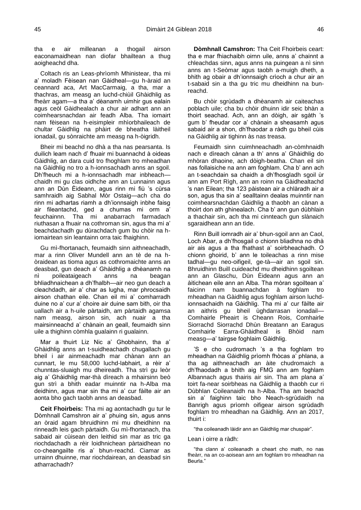tha e air milleanan a thogail airson eaconamaidhean nan diofar bhailtean a thug aoigheachd dha.

Coltach ris an Leas-phrìomh Mhinistear, tha mi a' moladh Fèisean nan Gàidheal—gu h-àraid an ceannard aca, Art MacCarmaig, a tha, mar a thachras, am measg an luchd-chiùil Ghàidhlig as fheàrr agam—a tha a' dèanamh uimhir gus ealain agus ceòl Gàidhealach a chur air adhart ann an coimhearsnachdan air feadh Alba. Tha iomairt nam fèisean na h-eisimpleir mhìorbhaileach de chultar Gàidhlig na phàirt de bheatha làitheil ionadail, gu sònraichte am measg na h-òigridh.

Bheir mi beachd no dhà a tha nas pearsanta. Is duilich leam nach d' fhuair mi buannachd à oideas Gàidhlig, an dara cuid tro fhoghlam tro mheadhan na Gàidhlig no tro a h-ionnsachadh anns an sgoil. Dh'fheuch mi a h-ionnsachadh mar inbheach chaidh mi gu clas oidhche ann an Lunnainn agus ann an Dùn Èideann, agus rinn mi fiù 's cùrsa samhraidh aig Sabhal Mòr Ostaig—ach cha do rinn mi adhartas riamh a dh'ionnsaigh inbhe faisg air fileantachd, ged a chumas mi orm a' feuchainnn. Tha mi anabarrach farmadach riuthasan a fhuair na cothroman sin, agus tha mi a' beachdachadh gu dùrachdach gum bu chòir na hiomairtean sin leantainn orra taic fhaighinn.

Gu mì-fhortanach, feumaidh sinn aithneachadh, mar a rinn Oliver Mundell ann an tè de na hòraidean as tioma agus as cothromaichte anns an deasbad, gun deach a' Ghàidhlig a dhèanamh na nì poileataigeach anns na beagan bhliadhnaichean a dh'fhalbh—air neo gun deach a cleachdadh, air a' char as lugha, mar phrocsaidh airson chathan eile. Chan eil mi a' comharradh duine no a' cur a' choire air duine sam bith, oir tha uallach air a h-uile pàrtaidh, am pàrtaidh agamsa nam measg, airson sin, ach nuair a tha mairsinneachd a' chànain an geall, feumaidh sinn uile a thighinn còmhla gualainn ri gualainn.

Mar a thuirt Liz Nic a' Ghobhainn, tha a' Ghàidhlig anns an t-suidheachadh chugallach gu bheil i air ainmeachadh mar chànan ann an cunnart, le mu 58,000 luchd-labhairt, a rèir a' chunntas-sluaigh mu dheireadh. Tha strì gu leòr aig a' Ghàidhlig mar-thà dìreach a mhairsinn beò gun strì a bhith eadar muinntir na h-Alba ma deidhinn, agus mar sin tha mi a' cur fàilte air an aonta bho gach taobh anns an deasbad.

**Ceit Fhoirbeis:** Tha mi ag aontachadh gu tur le Dòmhnall Camshron air a' phuing sin, agus anns an òraid agam bhruidhinn mi mu dheidhinn na rinneadh leis gach pàrtaidh. Gu mì-fhortanach, tha sabaid air cùisean den leithid sin mar as tric ga riochdachadh a rèir loidhnichean pàrtaidhean no co-cheangailte ris a' bhun-reachd. Ciamar as urrainn dhuinne, mar riochdairean, an deasbad sin atharrachadh?

**Dòmhnall Camshron:** Tha Ceit Fhoirbeis ceart: tha e mar fhiachaibh oirnn uile, anns a' chainnt a chleachdas sinn, agus anns na puingean a nì sinn anns an t-Seòmar agus taobh a-muigh dheth, a bhith ag obair a dh'ionnsaigh crìoch a chur air an t-sabaid sin a tha gu tric mu dheidhinn na bunreachd.

Bu chòir sgrùdadh a dhèanamh air caiteachas poblach uile; cha bu chòir dhuinn idir seic bhàn a thoirt seachad. Ach, ann an dòigh, air sgàth 's gum b' fheudar cor a' chànain a sheasamh agus sabaid air a shon, dh'fhaodar a ràdh gu bheil cùis na Gàidhlig air tighinn às nas treasa.

Feumaidh sinn cuimhneachadh an-còmhnaidh nach e dìreach cànan a th' anns a' Ghàidhlig do mhòran dhaoine, ach dòigh-beatha. Chan eil sin nas follaisiche na ann am foghlam. Cha b' ann ach an t-seachdain sa chaidh a dh'fhosgladh sgoil ùr ann am Port Rìgh, ann an roinn na Gàidhealtachd 's nan Eilean; tha 123 pàistean air a chlàradh air a son, agus tha sin a' sealltainn dealas muinntir nan coimhearsnachdan Gàidhlig a thaobh an cànan a thoirt don ath ghinealach. Cha b' ann gun dùbhlain a thachair sin, ach tha mi cinnteach gun slànaich sgaraidhean ann an tìde.

Rinn Buill iomradh air a' bhun-sgoil ann an Caol, Loch Abar, a dh'fhosgail o chionn bliadhna no dhà air ais agus a tha fhathast a' soirbheachadh. O chionn ghoirid, b' ann le toileachas a rinn mise tadhal—gu neo-oifigeil, ge-tà—air an sgoil sin. Bhruidhinn Buill cuideachd mu dheidhinn sgoiltean ann an Glaschu, Dùn Èideann agus ann an àitichean eile ann an Alba. Tha mòran sgoiltean a' faicinn nam buannachdan à foghlam tro mheadhan na Gàidhlig agus foghlam airson luchdionnsachaidh na Gàidhlig. Tha mi a' cur fàilte air an aithris gu bheil ùghdarrasan ionadail— Comhairle Pheairt is Cheann Rois, Comhairle Siorrachd Siorrachd Dhùn Breatann an Earagus Comhairle Earra-Ghàidheal is Bhòid nam measg—a' tairgse foghlaim Gàidhlig.

'S e cho cudromach 's a tha foghlam tro mheadhan na Gàidhlig prìomh fhòcas a' phlana, a tha ag aithneachadh an àite chudromaich a dh'fhaodadh a bhith aig FMG ann am foghlam Albannach agus thairis air sin. Tha am plana a' toirt fa-near soirbheas na Gàidhlig a thaobh cur ri Dùbhlan Coileanaidh na h-Alba. Tha am beachd sin a' faighinn taic bho Neach-sgrùdaidh na Banrigh agus prìomh oifigear airson sgrùdadh foghlam tro mheadhan na Gàidhlig. Ann an 2017, thuirt i:

"tha coileanadh làidir ann an Gàidhlig mar chuspair".

Lean i oirre a ràdh:

"tha clann a' coileanadh a cheart cho math, no nas fheàrr, na an co-aoisean ann am foghlam tro mheadhan na Beurla."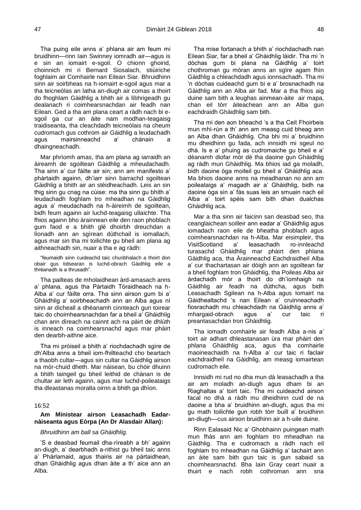Tha puing eile anns a' phlana air am feum mi bruidhinn—rinn Iain Swinney iomradh air—agus is e sin an iomairt e-sgoil. O chionn ghoirid, choinnich mi ri Bernard Siosalach, stiùiriche foghlaim air Comhairle nan Eilean Siar. Bhruidhinn sinn air soirbheas na h-iomairt e-sgoil agus mar a tha teicneòlas an latha an-diugh air comas a thoirt do fhoghlam Gàidhlig a bhith air a lìbhrigeadh gu dealanach ri coimhearsnachdan air feadh nan Eilean. Ged a tha am plana ceart a ràdh nach bi esgoil ga cur an àite nam modhan-teagaisg traidiseanta, tha cleachdadh teicneòlais na cheum cudromach gus cothrom air Gàidhlig a leudachadh agus mairsinneachd a' chànain a dhaingneachadh.

Mar phrìomh amas, tha am plana ag iarraidh an àireamh de sgoiltean Gàidhlig a mheudachadh. Tha sinn a' cur fàilte air sin; ann am manifesto a' phàrtaidh againn, dh'iarr sinn barrachd sgoiltean Gàidhlig a bhith air an stèidheachadh. Leis an sin thig sinn gu cnag na cùise: ma tha sinn gu bhith a' leudachadh foghlam tro mheadhan na Gàidhlig agus a' meudachadh na h-àireimh de sgoiltean, bidh feum againn air luchd-teagaisg ullaichte. Tha fhios againn bho àrainnean eile den raon phoblach gum faod e a bhith glè dhoirbh dreuchdan a lìonadh ann an sgìrean dùthchail is iomallach, agus mar sin tha mi toilichte gu bheil am plana ag aithneachadh sin, nuair a tha e ag ràdh:

"feumaidh sinn cuideachd taic chunbhalach a thoirt don obair gus tidsearan is luchd-obrach Gàidhlig eile a thrèanadh is a thrusadh".

Tha pailteas de mholaidhean àrd-amasach anns a' phlana, agus tha Pàrtaidh Tòraidheach na h-Alba a' cur fàilte orra. Tha sinn airson gum bi a' Ghàidhlig a' soirbheachadh ann an Alba agus nì sinn ar dìcheall a dhèanamh cinnteach gun toirear taic do choimhearsnachdan far a bheil a' Ghàidhlig chan ann dìreach na cainnt ach na pàirt de dhlùth is inneach na coimhearsnachd agus mar phàirt den dearbh-aithne aice.

Tha mi pròiseil a bhith a' riochdachadh sgìre de dh'Alba anns a bheil iom-fhillteachd cho beartach a thaobh cultar—agus sin cultar na Gàidhlig airson na mòr-chuid dheth. Mar nàisean, bu chòir dhuinn a bhith taingeil gu bheil leithid de chànan is de chultar air leth againn, agus mar luchd-poileataigs tha dleastanas moralta oirnn a bhith ga dhìon.

#### 16:52

# <span id="page-27-0"></span>**Am Ministear airson Leasachadh Eadarnàiseanta agus Eòrpa (An Dr Alasdair Allan):**

#### *Bhruidhinn am ball sa Ghàidhlig.*

'S e deasbad feumail dha-rìreabh a bh' againn an-diugh, a' dearbhadh a-rithist gu bheil taic anns a' Phàrlamaid, agus thairis air na pàrtaidhean, dhan Ghàidhlig agus dhan àite a th' aice ann an Alba.

Tha mise fortanach a bhith a' riochdachadh nan Eilean Siar, far a bheil a' Ghàidhlig làidir. Tha mi 'n dòchas gum bi plana na Gàidhlig a' toirt chothroman gu mòran anns an sgìre agam fhìn Gàidhlig a chleachdadh agus ionnsachadh. Tha mi 'n dòchas cuideachd gum bi e a' brosnachadh na Gàidhlig ann an Alba air fad. Mar a tha fhios aig duine sam bith a leughas ainmean-àite air mapa, chan eil tòrr àiteachean ann an Alba gun eachdraidh Ghàidhlig sam bith.

Tha mi den aon bheachd 's a tha Ceit Fhoirbeis mun mhì-rùn a th' ann am measg cuid bheag ann an Alba dhan Ghàidhlig. Cha bhi mi a' bruidhinn mu dheidhinn gu fada, ach innsidh mi sgeul no dhà. Is e a' phuing as cudromaiche gu bheil e a' dèanamh diofar mòr dè tha daoine gun Ghàidhlig ag ràdh mun Ghàidhlig. Ma bhios iad ga moladh, bidh daoine òga moiteil gu bheil a' Ghàidhlig aca. Ma bhios daoine anns na meadhanan no ann am poileataigs a' magadh air a' Ghàidhlig, bidh na daoine òga sin a' fàs suas leis an smuain nach eil Alba a' toirt spèis sam bith dhan dualchas Ghàidhlig aca.

Mar a tha sinn air faicinn san deasbad seo, tha ceanglaichean soilleir ann eadar a' Ghàidhlig agus iomadach raon eile de bheatha phoblach agus coimhearsnachdan na h-Alba. Mar eisimpleir, tha VisitScotland a' leasachadh ro-innleachd turasachd Ghàidhlig mar phàirt den phlana Gàidhlig aca, tha Àrainneachd Eachdraidheil Alba a' cur thachartasan air dòigh ann an sgoiltean far a bheil foghlam tron Ghàidhlig, tha Poileas Alba air àrdachadh mòr a thoirt do dh'ìomhaigh na Gàidhlig air feadh na dùthcha, agus bidh Leasachadh Sgilean na h-Alba agus Iomairt na Gàidhealtachd 's nan Eilean a' cruinneachadh fiosrachadh mu chleachdadh na Gàidhlig anns a' mhargaid-obrach agus a' cur taic ri preantasachdan tron Ghàidhlig.

Tha iomadh comhairle air feadh Alba a-nis a' toirt air adhart dhleastanasan ùra mar phàirt den phlana Ghàidhlig aca, agus tha comhairle maoineachaidh na h-Alba a' cur taic ri faclair eachdraidheil na Gàidhlig, am measg iomairtean cudromach eile.

Innsidh mi rud no dha mun dà leasachadh a tha air am moladh an-diugh agus dham bi an Riaghaltas a' toirt taic. Tha mi cuideachd airson facal no dhà a ràdh mu dheidhinn cuid de na daoine a bha a' bruidhinn an-diugh, agus tha mi gu math toilichte gun robh tòrr buill a' bruidhinn an-diugh—cus airson bruidhinn air a h-uile duine.

Rinn Ealasaid Nic a' Ghobhainn puingean math mun fhàs ann am foghlam tro mheadhan na Gàidhlig. Tha e cudromach a ràdh nach eil foghlam tro mheadhan na Gàidhlig a' tachairt ann an àite sam bith gun taic is gun sabaid sa choimhearsnachd. Bha Iain Gray ceart nuair a thuirt e nach robh cothroman ann sna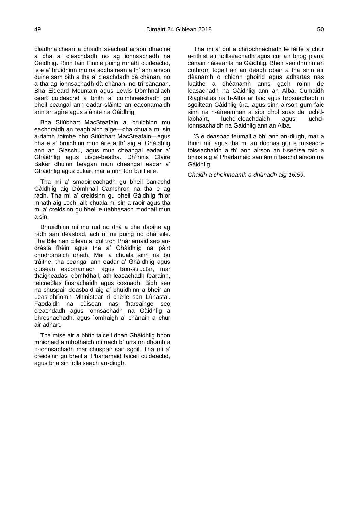bliadhnaichean a chaidh seachad airson dhaoine a bha a' cleachdadh no ag ionnsachadh na Gàidhlig. Rinn Iain Finnie puing mhath cuideachd, is e a' bruidhinn mu na sochairean a th' ann airson duine sam bith a tha a' cleachdadh dà chànan, no a tha ag ionnsachadh dà chànan, no trì cànanan. Bha Eideard Mountain agus Lewis Dòmhnallach ceart cuideachd a bhith a' cuimhneachadh gu bheil ceangal ann eadar slàinte an eaconamaidh ann an sgìre agus slàinte na Gàidhlig.

Bha Stiùbhart MacSteafain a' bruidhinn mu eachdraidh an teaghlaich aige—cha chuala mi sin a-riamh roimhe bho Stiùbhart MacSteafain—agus bha e a' bruidhinn mun àite a th' aig a' Ghàidhlig ann an Glaschu, agus mun cheangal eadar a' Ghàidhlig agus uisge-beatha. Dh'innis Claire Baker dhuinn beagan mun cheangal eadar a' Ghàidhlig agus cultar, mar a rinn tòrr buill eile.

Tha mi a' smaoineachadh gu bheil barrachd Gàidhlig aig Dòmhnall Camshron na tha e ag ràdh. Tha mi a' creidsinn gu bheil Gàidhlig fhìor mhath aig Loch Iall; chuala mi sin a-raoir agus tha mi a' creidsinn gu bheil e uabhasach modhail mun a sin.

Bhruidhinn mi mu rud no dhà a bha daoine ag ràdh san deasbad, ach nì mi puing no dhà eile. Tha Bile nan Eilean a' dol tron Phàrlamaid seo andràsta fhèin agus tha a' Ghàidhlig na pàirt chudromaich dheth. Mar a chuala sinn na bu tràithe, tha ceangal ann eadar a' Ghàidhlig agus cùisean eaconamach agus bun-structar, mar thaigheadas, còmhdhail, ath-leasachadh fearainn, teicneòlas fiosrachaidh agus cosnadh. Bidh seo na chuspair deasbaid aig a' bhuidhinn a bheir an Leas-phrìomh Mhinistear ri chèile san Lùnastal. Faodaidh na cùisean nas fharsainge seo cleachdadh agus ionnsachadh na Gàidhlig a bhrosnachadh, agus ìomhaigh a' chànain a chur air adhart.

Tha mise air a bhith taiceil dhan Ghàidhlig bhon mhionaid a mhothaich mi nach b' urrainn dhomh a h-ionnsachadh mar chuspair san sgoil. Tha mi a' creidsinn gu bheil a' Phàrlamaid taiceil cuideachd, agus bha sin follaiseach an-diugh.

Tha mi a' dol a chrìochnachadh le fàilte a chur a-rithist air foillseachadh agus cur air bhog plana cànain nàiseanta na Gàidhlig. Bheir seo dhuinn an cothrom togail air an deagh obair a tha sinn air dèanamh o chionn ghoirid agus adhartas nas luaithe a dhèanamh anns gach roinn de leasachadh na Gàidhlig ann an Alba. Cumaidh Riaghaltas na h-Alba ar taic agus brosnachadh ri sgoiltean Gàidhlig ùra, agus sinn airson gum faic sinn na h-àireamhan a sìor dhol suas de luchdlabhairt, luchd-cleachdaidh agus luchdionnsachaidh na Gàidhlig ann an Alba.

'S e deasbad feumail a bh' ann an-diugh, mar a thuirt mi, agus tha mi an dòchas gur e toiseachtòiseachaidh a th' ann airson an t-seòrsa taic a bhios aig a' Phàrlamaid san àm ri teachd airson na Gàidhlig.

*Chaidh a choinneamh a dhùnadh aig 16:59.*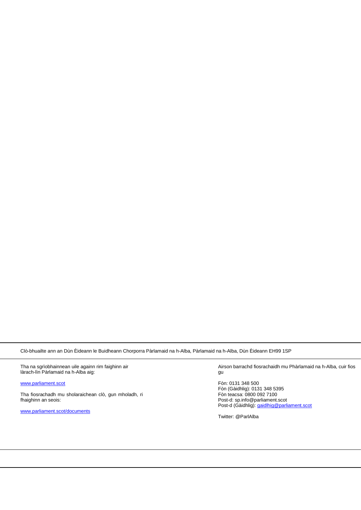Clò-bhuailte ann an Dùn Èideann le Buidheann Chorporra Pàrlamaid na h-Alba, Pàrlamaid na h-Alba, Dùn Èideann EH99 1SP

Tha na sgrìobhainnean uile againn rim faighinn air làrach-lìn Pàrlamaid na h-Alba aig:

[www.parliament.scot](http://www.parliament.scot/)

Tha fiosrachadh mu sholaraichean clò, gun mholadh, ri fhaighinn an seois:

[www.parliament.scot/documents](http://www.parliament.scot/documents)

Airson barrachd fiosrachaidh mu Phàrlamaid na h-Alba, cuir fios gu

Fòn: 0131 348 500 Fòn (Gàidhlig): 0131 348 5395 Fòn teacsa: 0800 092 7100 Post-d: sp.info@parliament.scot Post-d (Gàidhlig)[: gaidlhig@parliament.scot](mailto:gaidlhig@parliament.scot)

Twitter: @ParlAlba